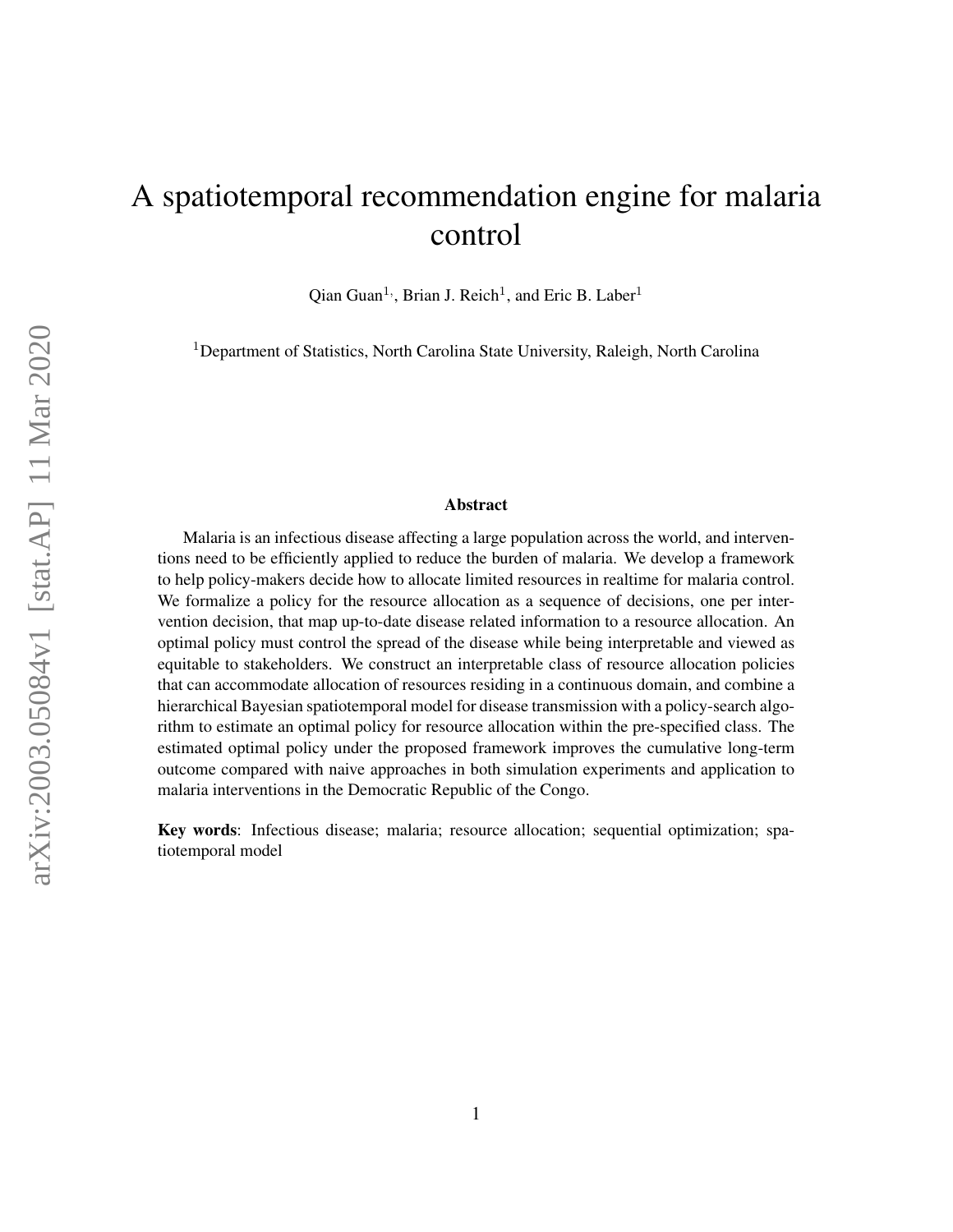# A spatiotemporal recommendation engine for malaria control

Qian Guan<sup>1,</sup>, Brian J. Reich<sup>1</sup>, and Eric B. Laber<sup>1</sup>

<sup>1</sup>Department of Statistics, North Carolina State University, Raleigh, North Carolina

#### Abstract

Malaria is an infectious disease affecting a large population across the world, and interventions need to be efficiently applied to reduce the burden of malaria. We develop a framework to help policy-makers decide how to allocate limited resources in realtime for malaria control. We formalize a policy for the resource allocation as a sequence of decisions, one per intervention decision, that map up-to-date disease related information to a resource allocation. An optimal policy must control the spread of the disease while being interpretable and viewed as equitable to stakeholders. We construct an interpretable class of resource allocation policies that can accommodate allocation of resources residing in a continuous domain, and combine a hierarchical Bayesian spatiotemporal model for disease transmission with a policy-search algorithm to estimate an optimal policy for resource allocation within the pre-specified class. The estimated optimal policy under the proposed framework improves the cumulative long-term outcome compared with naive approaches in both simulation experiments and application to malaria interventions in the Democratic Republic of the Congo.

Key words: Infectious disease; malaria; resource allocation; sequential optimization; spatiotemporal model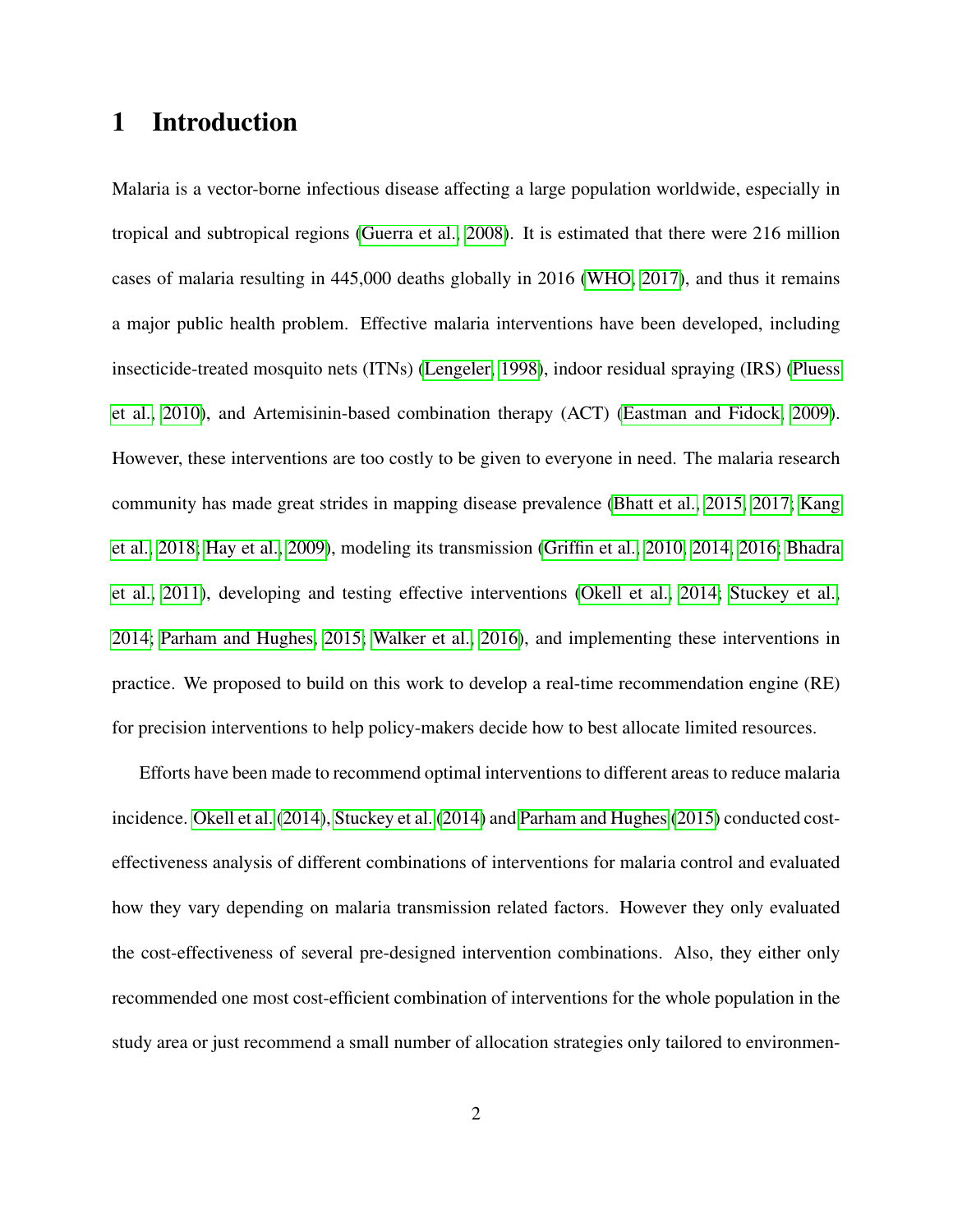## 1 Introduction

Malaria is a vector-borne infectious disease affecting a large population worldwide, especially in tropical and subtropical regions [\(Guerra et al., 2008\)](#page-29-0). It is estimated that there were 216 million cases of malaria resulting in 445,000 deaths globally in 2016 [\(WHO, 2017\)](#page-31-0), and thus it remains a major public health problem. Effective malaria interventions have been developed, including insecticide-treated mosquito nets (ITNs) [\(Lengeler, 1998\)](#page-29-1), indoor residual spraying (IRS) [\(Pluess](#page-30-0) [et al., 2010\)](#page-30-0), and Artemisinin-based combination therapy (ACT) [\(Eastman and Fidock, 2009\)](#page-28-0). However, these interventions are too costly to be given to everyone in need. The malaria research community has made great strides in mapping disease prevalence [\(Bhatt et al., 2015,](#page-28-1) [2017;](#page-28-2) [Kang](#page-29-2) [et al., 2018;](#page-29-2) [Hay et al., 2009\)](#page-29-3), modeling its transmission [\(Griffin et al., 2010,](#page-29-4) [2014,](#page-29-5) [2016;](#page-28-3) [Bhadra](#page-28-4) [et al., 2011\)](#page-28-4), developing and testing effective interventions [\(Okell et al., 2014;](#page-30-1) [Stuckey et al.,](#page-31-1) [2014;](#page-31-1) [Parham and Hughes, 2015;](#page-30-2) [Walker et al., 2016\)](#page-31-2), and implementing these interventions in practice. We proposed to build on this work to develop a real-time recommendation engine (RE) for precision interventions to help policy-makers decide how to best allocate limited resources.

Efforts have been made to recommend optimal interventions to different areas to reduce malaria incidence. [Okell et al.](#page-30-1) [\(2014\)](#page-30-1), [Stuckey et al.](#page-31-1) [\(2014\)](#page-31-1) and [Parham and Hughes](#page-30-2) [\(2015\)](#page-30-2) conducted costeffectiveness analysis of different combinations of interventions for malaria control and evaluated how they vary depending on malaria transmission related factors. However they only evaluated the cost-effectiveness of several pre-designed intervention combinations. Also, they either only recommended one most cost-efficient combination of interventions for the whole population in the study area or just recommend a small number of allocation strategies only tailored to environmen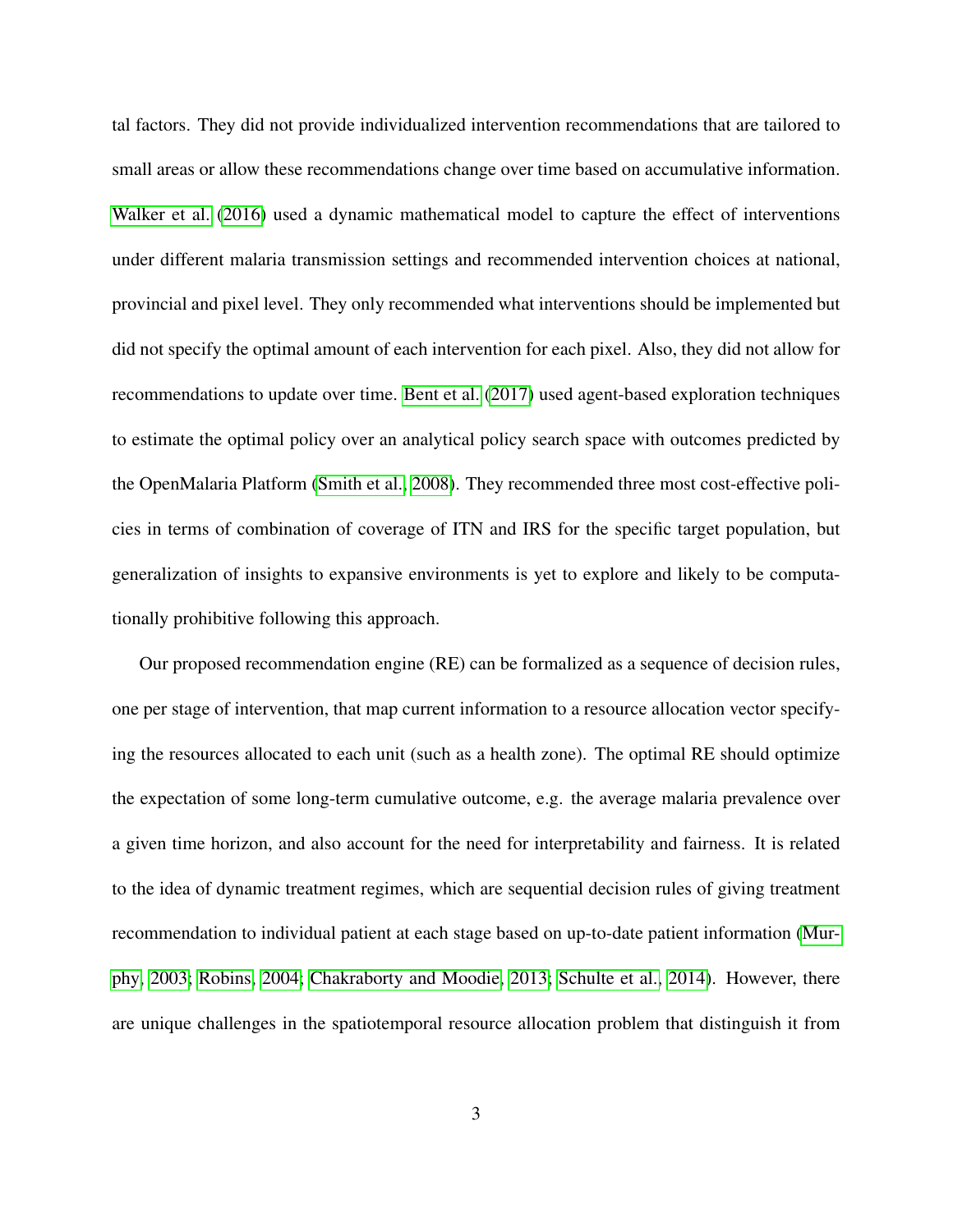tal factors. They did not provide individualized intervention recommendations that are tailored to small areas or allow these recommendations change over time based on accumulative information. [Walker et al.](#page-31-2) [\(2016\)](#page-31-2) used a dynamic mathematical model to capture the effect of interventions under different malaria transmission settings and recommended intervention choices at national, provincial and pixel level. They only recommended what interventions should be implemented but did not specify the optimal amount of each intervention for each pixel. Also, they did not allow for recommendations to update over time. [Bent et al.](#page-28-5) [\(2017\)](#page-28-5) used agent-based exploration techniques to estimate the optimal policy over an analytical policy search space with outcomes predicted by the OpenMalaria Platform [\(Smith et al., 2008\)](#page-31-3). They recommended three most cost-effective policies in terms of combination of coverage of ITN and IRS for the specific target population, but generalization of insights to expansive environments is yet to explore and likely to be computationally prohibitive following this approach.

Our proposed recommendation engine (RE) can be formalized as a sequence of decision rules, one per stage of intervention, that map current information to a resource allocation vector specifying the resources allocated to each unit (such as a health zone). The optimal RE should optimize the expectation of some long-term cumulative outcome, e.g. the average malaria prevalence over a given time horizon, and also account for the need for interpretability and fairness. It is related to the idea of dynamic treatment regimes, which are sequential decision rules of giving treatment recommendation to individual patient at each stage based on up-to-date patient information [\(Mur](#page-30-3)[phy, 2003;](#page-30-3) [Robins, 2004;](#page-30-4) [Chakraborty and Moodie, 2013;](#page-28-6) [Schulte et al., 2014\)](#page-30-5). However, there are unique challenges in the spatiotemporal resource allocation problem that distinguish it from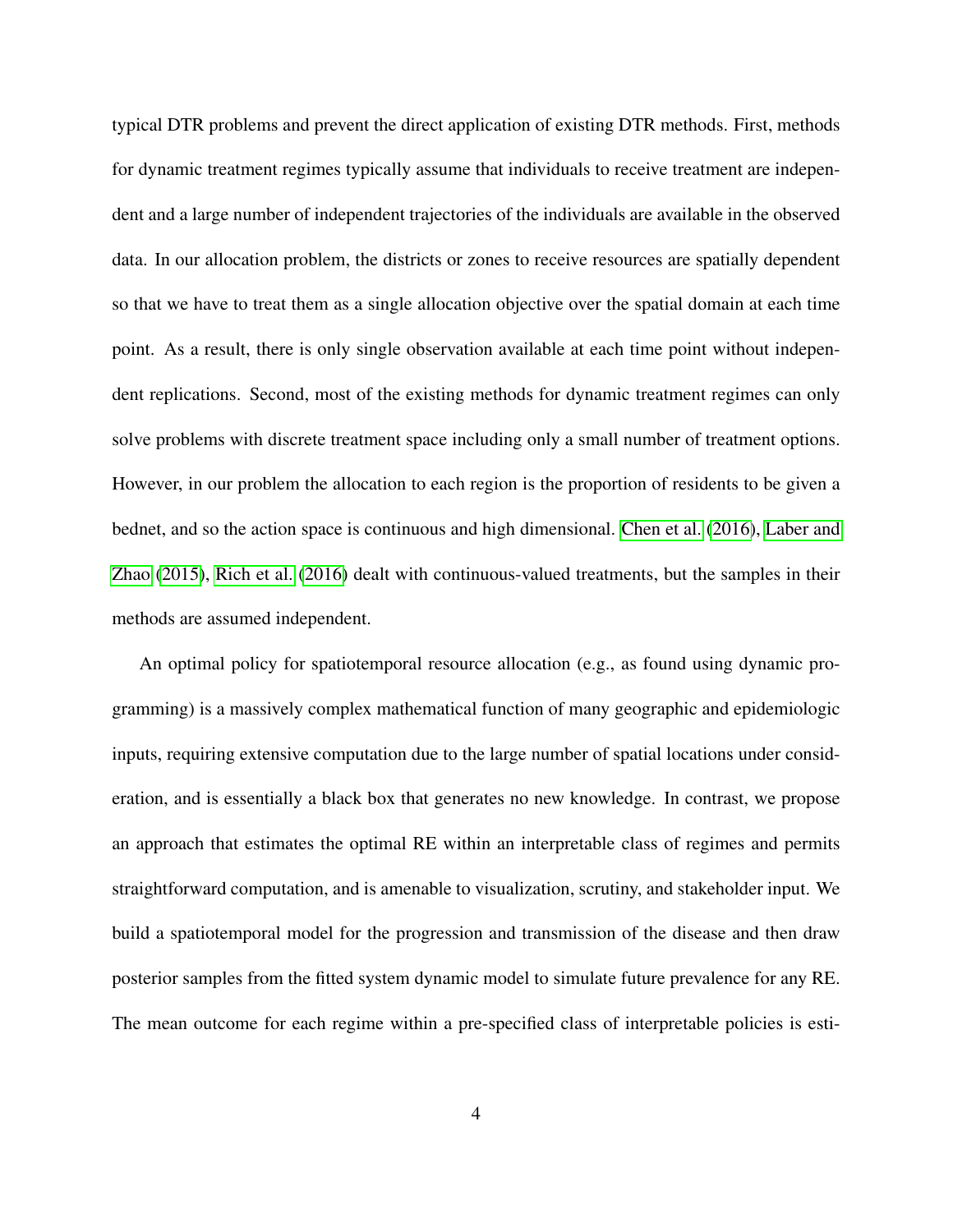typical DTR problems and prevent the direct application of existing DTR methods. First, methods for dynamic treatment regimes typically assume that individuals to receive treatment are independent and a large number of independent trajectories of the individuals are available in the observed data. In our allocation problem, the districts or zones to receive resources are spatially dependent so that we have to treat them as a single allocation objective over the spatial domain at each time point. As a result, there is only single observation available at each time point without independent replications. Second, most of the existing methods for dynamic treatment regimes can only solve problems with discrete treatment space including only a small number of treatment options. However, in our problem the allocation to each region is the proportion of residents to be given a bednet, and so the action space is continuous and high dimensional. [Chen et al.](#page-28-7) [\(2016\)](#page-28-7), [Laber and](#page-29-6) [Zhao](#page-29-6) [\(2015\)](#page-29-6), [Rich et al.](#page-30-6) [\(2016\)](#page-30-6) dealt with continuous-valued treatments, but the samples in their methods are assumed independent.

An optimal policy for spatiotemporal resource allocation (e.g., as found using dynamic programming) is a massively complex mathematical function of many geographic and epidemiologic inputs, requiring extensive computation due to the large number of spatial locations under consideration, and is essentially a black box that generates no new knowledge. In contrast, we propose an approach that estimates the optimal RE within an interpretable class of regimes and permits straightforward computation, and is amenable to visualization, scrutiny, and stakeholder input. We build a spatiotemporal model for the progression and transmission of the disease and then draw posterior samples from the fitted system dynamic model to simulate future prevalence for any RE. The mean outcome for each regime within a pre-specified class of interpretable policies is esti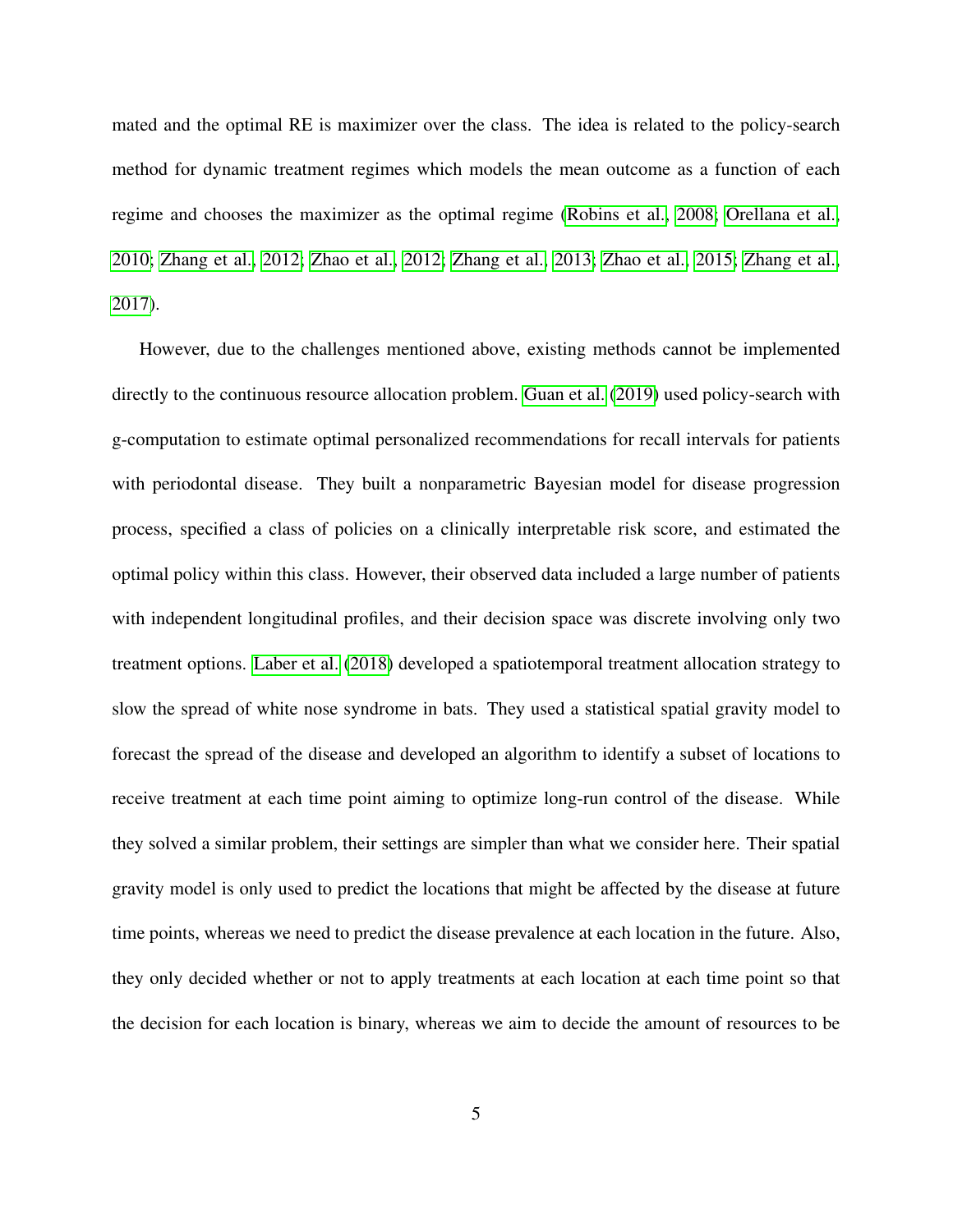mated and the optimal RE is maximizer over the class. The idea is related to the policy-search method for dynamic treatment regimes which models the mean outcome as a function of each regime and chooses the maximizer as the optimal regime [\(Robins et al., 2008;](#page-30-7) [Orellana et al.,](#page-30-8) [2010;](#page-30-8) [Zhang et al., 2012;](#page-31-4) [Zhao et al., 2012;](#page-31-5) [Zhang et al., 2013;](#page-31-6) [Zhao et al., 2015;](#page-31-7) [Zhang et al.,](#page-31-8) [2017\)](#page-31-8).

However, due to the challenges mentioned above, existing methods cannot be implemented directly to the continuous resource allocation problem. [Guan et al.](#page-29-7) [\(2019\)](#page-29-7) used policy-search with g-computation to estimate optimal personalized recommendations for recall intervals for patients with periodontal disease. They built a nonparametric Bayesian model for disease progression process, specified a class of policies on a clinically interpretable risk score, and estimated the optimal policy within this class. However, their observed data included a large number of patients with independent longitudinal profiles, and their decision space was discrete involving only two treatment options. [Laber et al.](#page-29-8) [\(2018\)](#page-29-8) developed a spatiotemporal treatment allocation strategy to slow the spread of white nose syndrome in bats. They used a statistical spatial gravity model to forecast the spread of the disease and developed an algorithm to identify a subset of locations to receive treatment at each time point aiming to optimize long-run control of the disease. While they solved a similar problem, their settings are simpler than what we consider here. Their spatial gravity model is only used to predict the locations that might be affected by the disease at future time points, whereas we need to predict the disease prevalence at each location in the future. Also, they only decided whether or not to apply treatments at each location at each time point so that the decision for each location is binary, whereas we aim to decide the amount of resources to be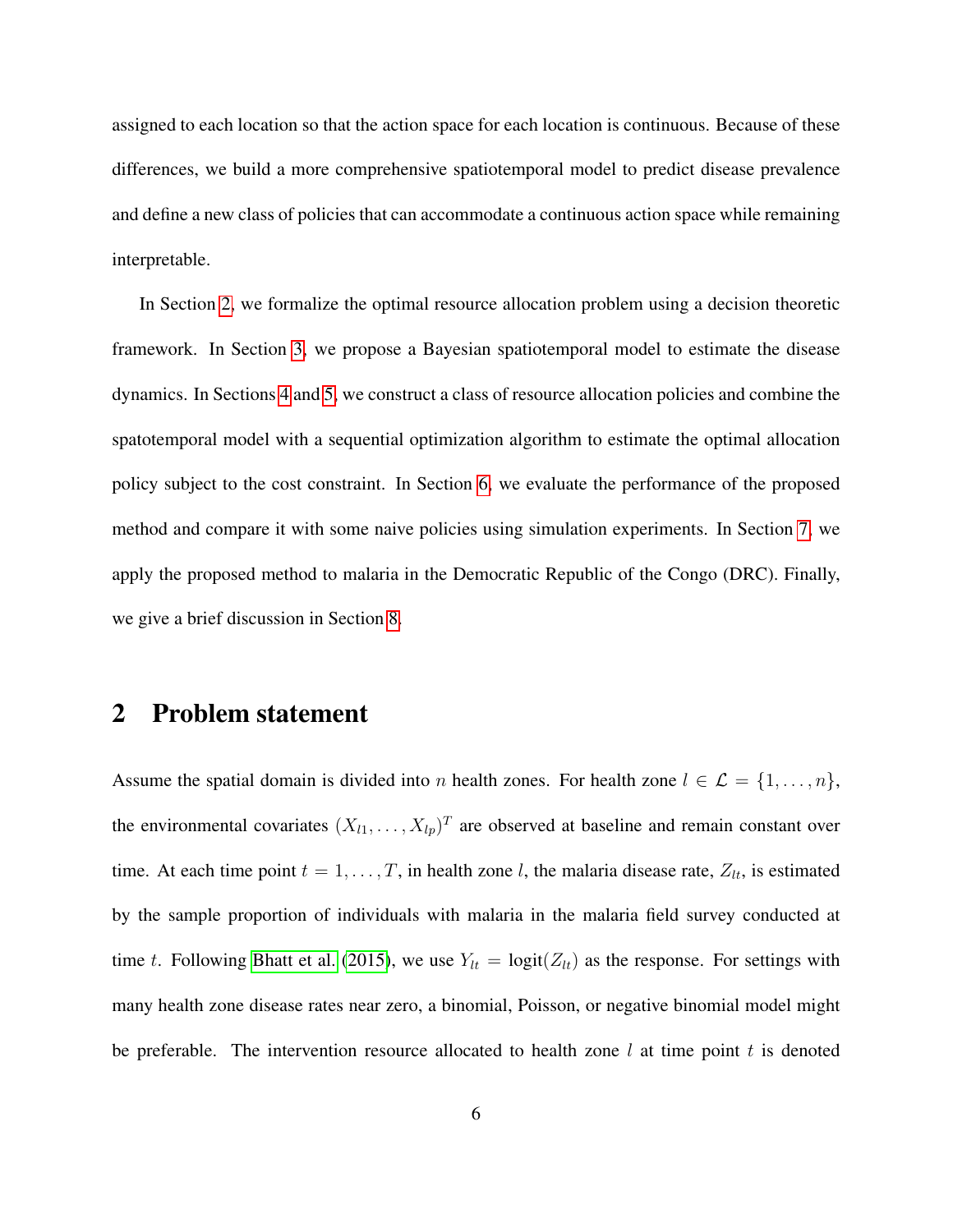assigned to each location so that the action space for each location is continuous. Because of these differences, we build a more comprehensive spatiotemporal model to predict disease prevalence and define a new class of policies that can accommodate a continuous action space while remaining interpretable.

In Section [2,](#page-5-0) we formalize the optimal resource allocation problem using a decision theoretic framework. In Section [3,](#page-7-0) we propose a Bayesian spatiotemporal model to estimate the disease dynamics. In Sections [4](#page-9-0) and [5,](#page-14-0) we construct a class of resource allocation policies and combine the spatotemporal model with a sequential optimization algorithm to estimate the optimal allocation policy subject to the cost constraint. In Section [6,](#page-16-0) we evaluate the performance of the proposed method and compare it with some naive policies using simulation experiments. In Section [7,](#page-19-0) we apply the proposed method to malaria in the Democratic Republic of the Congo (DRC). Finally, we give a brief discussion in Section [8.](#page-26-0)

### <span id="page-5-0"></span>2 Problem statement

Assume the spatial domain is divided into n health zones. For health zone  $l \in \mathcal{L} = \{1, \ldots, n\}$ , the environmental covariates  $(X_{l1},...,X_{lp})^T$  are observed at baseline and remain constant over time. At each time point  $t = 1, \ldots, T$ , in health zone l, the malaria disease rate,  $Z_{lt}$ , is estimated by the sample proportion of individuals with malaria in the malaria field survey conducted at time t. Following [Bhatt et al.](#page-28-1) [\(2015\)](#page-28-1), we use  $Y_{lt} = \text{logit}(Z_{lt})$  as the response. For settings with many health zone disease rates near zero, a binomial, Poisson, or negative binomial model might be preferable. The intervention resource allocated to health zone  $l$  at time point  $t$  is denoted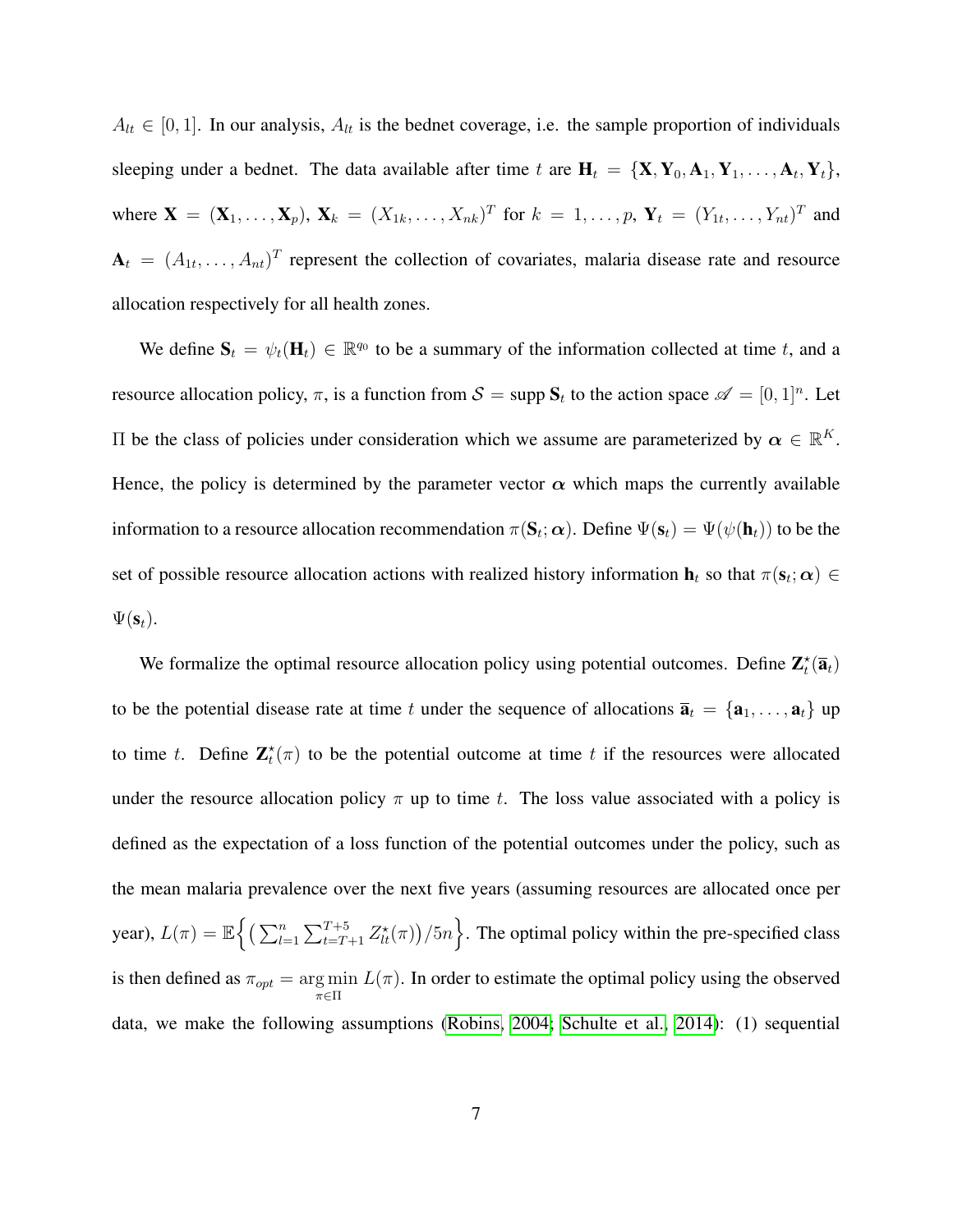$A_{lt} \in [0, 1]$ . In our analysis,  $A_{lt}$  is the bednet coverage, i.e. the sample proportion of individuals sleeping under a bednet. The data available after time t are  $H_t = \{X, Y_0, A_1, Y_1, \ldots, A_t, Y_t\}$ , where  $\mathbf{X} = (\mathbf{X}_1, \dots, \mathbf{X}_p)$ ,  $\mathbf{X}_k = (X_{1k}, \dots, X_{nk})^T$  for  $k = 1, \dots, p$ ,  $\mathbf{Y}_t = (Y_{1t}, \dots, Y_{nt})^T$  and  $A_t = (A_{1t}, \dots, A_{nt})^T$  represent the collection of covariates, malaria disease rate and resource allocation respectively for all health zones.

We define  $S_t = \psi_t(\mathbf{H}_t) \in \mathbb{R}^{q_0}$  to be a summary of the information collected at time t, and a resource allocation policy,  $\pi$ , is a function from  $\mathcal{S} = \text{supp } \mathbf{S}_t$  to the action space  $\mathscr{A} = [0,1]^n$ . Let Π be the class of policies under consideration which we assume are parameterized by  $\alpha \in \mathbb{R}^K$ . Hence, the policy is determined by the parameter vector  $\alpha$  which maps the currently available information to a resource allocation recommendation  $\pi(S_t;\bm\alpha).$  Define  $\Psi(\mathbf{s}_t)=\Psi(\psi(\mathbf{h}_t))$  to be the set of possible resource allocation actions with realized history information  $\mathbf{h}_t$  so that  $\pi(\mathbf{s}_t; \alpha) \in$  $\Psi(\mathbf{s}_t)$ .

We formalize the optimal resource allocation policy using potential outcomes. Define  $\mathbf{Z}_t^{\star}(\overline{\mathbf{a}}_t)$ to be the potential disease rate at time t under the sequence of allocations  $\overline{\mathbf{a}}_t = {\mathbf{a}_1, \dots, \mathbf{a}_t}$  up to time t. Define  $\mathbf{Z}_t^*(\pi)$  to be the potential outcome at time t if the resources were allocated under the resource allocation policy  $\pi$  up to time t. The loss value associated with a policy is defined as the expectation of a loss function of the potential outcomes under the policy, such as the mean malaria prevalence over the next five years (assuming resources are allocated once per year),  $L(\pi) = \mathbb{E} \left\{ \left( \sum_{l=1}^n \sum_{t=T+1}^{T+5} Z_{lt}^{\star}(\pi) \right) / 5n \right\}$ . The optimal policy within the pre-specified class is then defined as  $\pi_{opt} = \underset{\pi \in \Pi}{\arg \min}$  $L(\pi)$ . In order to estimate the optimal policy using the observed data, we make the following assumptions [\(Robins, 2004;](#page-30-4) [Schulte et al., 2014\)](#page-30-5): (1) sequential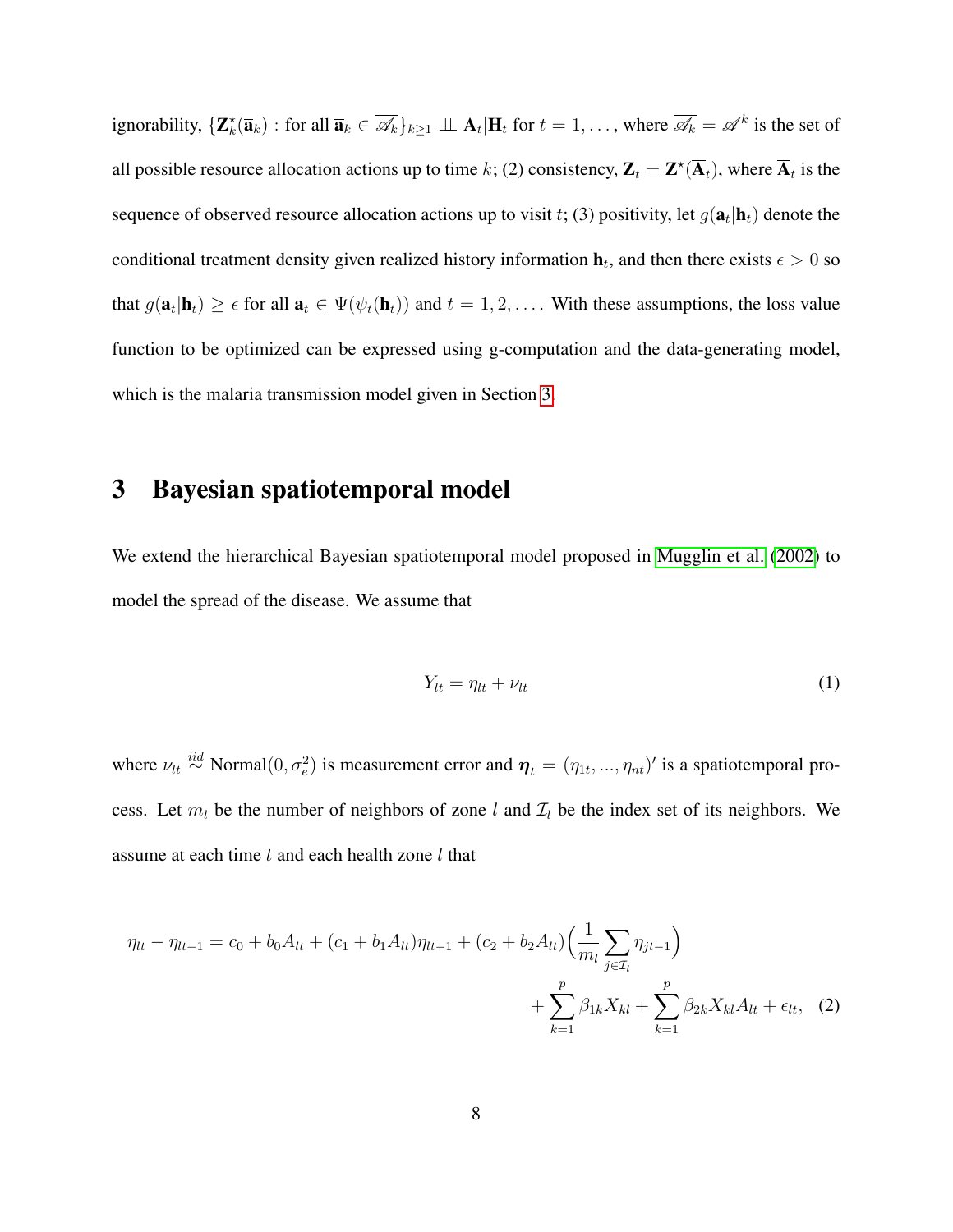ignorability,  $\{ \mathbf{Z}_k^{\star}(\overline{\mathbf{a}}_k) : \text{for all } \overline{\mathbf{a}}_k \in \overline{\mathscr{A}_k} \}_{k \geq 1} \perp \!\!\! \perp \mathbf{A}_t | \mathbf{H}_t \text{ for } t = 1, \ldots, \text{ where } \overline{\mathscr{A}_k} = \mathscr{A}^k \text{ is the set of }$ all possible resource allocation actions up to time k; (2) consistency,  $\mathbf{Z}_t = \mathbf{Z}^{\star}(\overline{\mathbf{A}}_t)$ , where  $\overline{\mathbf{A}}_t$  is the sequence of observed resource allocation actions up to visit t; (3) positivity, let  $g(\mathbf{a}_t | \mathbf{h}_t)$  denote the conditional treatment density given realized history information  $\mathbf{h}_t$ , and then there exists  $\epsilon > 0$  so that  $g(\mathbf{a}_t | \mathbf{h}_t) \geq \epsilon$  for all  $\mathbf{a}_t \in \Psi(\psi_t(\mathbf{h}_t))$  and  $t = 1, 2, \dots$ . With these assumptions, the loss value function to be optimized can be expressed using g-computation and the data-generating model, which is the malaria transmission model given in Section [3.](#page-7-0)

### <span id="page-7-0"></span>3 Bayesian spatiotemporal model

We extend the hierarchical Bayesian spatiotemporal model proposed in [Mugglin et al.](#page-29-9) [\(2002\)](#page-29-9) to model the spread of the disease. We assume that

<span id="page-7-2"></span><span id="page-7-1"></span>
$$
Y_{lt} = \eta_{lt} + \nu_{lt} \tag{1}
$$

where  $\nu_{lt} \stackrel{iid}{\sim}$  Normal $(0, \sigma_e^2)$  is measurement error and  $\eta_t = (\eta_{1t}, ..., \eta_{nt})'$  is a spatiotemporal process. Let  $m_l$  be the number of neighbors of zone l and  $\mathcal{I}_l$  be the index set of its neighbors. We assume at each time  $t$  and each health zone  $l$  that

$$
\eta_{lt} - \eta_{lt-1} = c_0 + b_0 A_{lt} + (c_1 + b_1 A_{lt}) \eta_{lt-1} + (c_2 + b_2 A_{lt}) \left( \frac{1}{m_l} \sum_{j \in \mathcal{I}_l} \eta_{jt-1} \right) + \sum_{k=1}^p \beta_{1k} X_{kl} + \sum_{k=1}^p \beta_{2k} X_{kl} A_{lt} + \epsilon_{lt}, \quad (2)
$$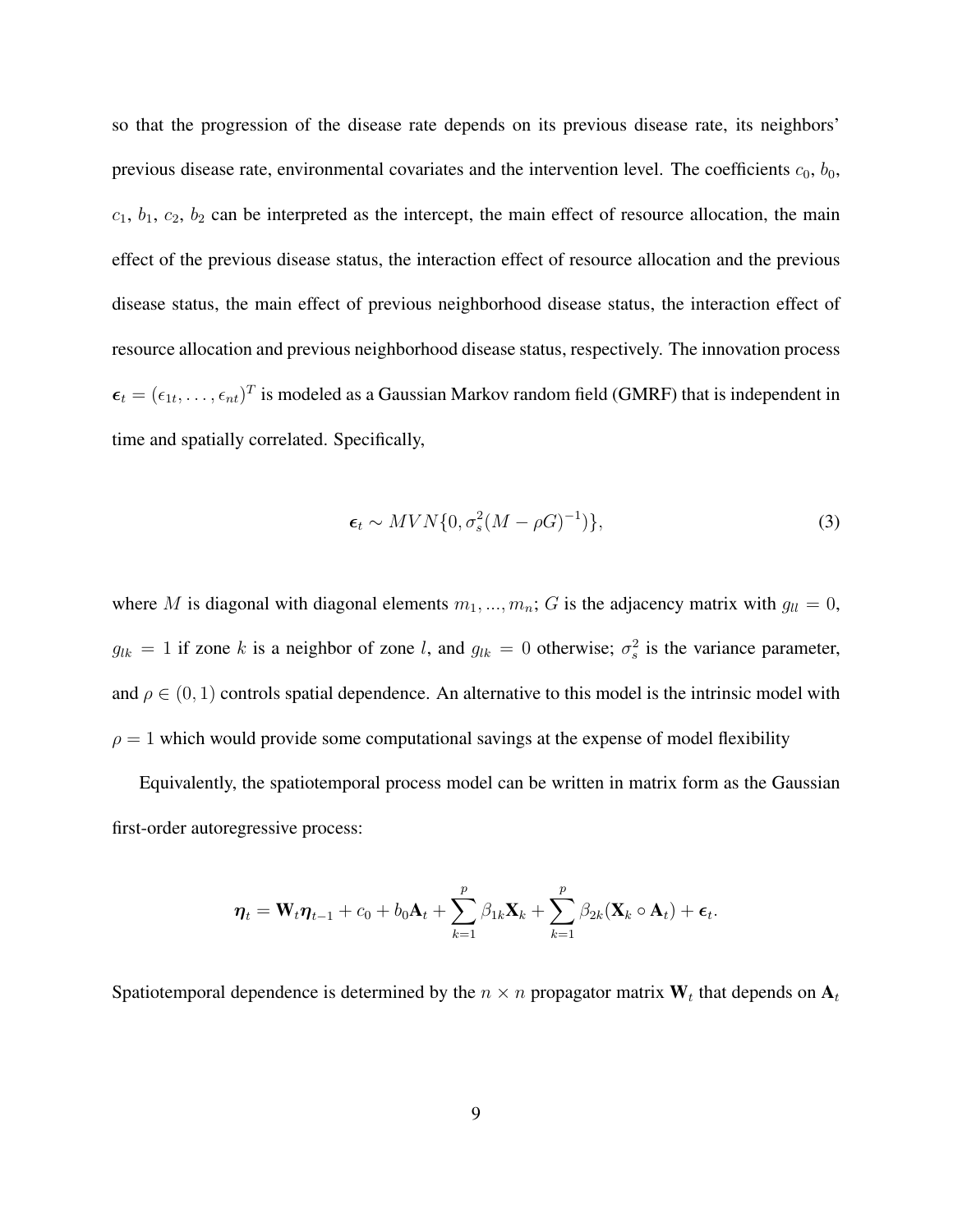so that the progression of the disease rate depends on its previous disease rate, its neighbors' previous disease rate, environmental covariates and the intervention level. The coefficients  $c_0$ ,  $b_0$ ,  $c_1$ ,  $b_1$ ,  $c_2$ ,  $b_2$  can be interpreted as the intercept, the main effect of resource allocation, the main effect of the previous disease status, the interaction effect of resource allocation and the previous disease status, the main effect of previous neighborhood disease status, the interaction effect of resource allocation and previous neighborhood disease status, respectively. The innovation process  $\epsilon_t = (\epsilon_{1t}, \dots, \epsilon_{nt})^T$  is modeled as a Gaussian Markov random field (GMRF) that is independent in time and spatially correlated. Specifically,

<span id="page-8-0"></span>
$$
\epsilon_t \sim MVN\{0, \sigma_s^2(M-\rho G)^{-1})\},\tag{3}
$$

where M is diagonal with diagonal elements  $m_1, ..., m_n$ ; G is the adjacency matrix with  $g_{ll} = 0$ ,  $g_{lk} = 1$  if zone k is a neighbor of zone l, and  $g_{lk} = 0$  otherwise;  $\sigma_s^2$  is the variance parameter, and  $\rho \in (0, 1)$  controls spatial dependence. An alternative to this model is the intrinsic model with  $\rho = 1$  which would provide some computational savings at the expense of model flexibility

Equivalently, the spatiotemporal process model can be written in matrix form as the Gaussian first-order autoregressive process:

$$
\boldsymbol{\eta}_t = \mathbf{W}_t \boldsymbol{\eta}_{t-1} + c_0 + b_0 \mathbf{A}_t + \sum_{k=1}^p \beta_{1k} \mathbf{X}_k + \sum_{k=1}^p \beta_{2k} (\mathbf{X}_k \circ \mathbf{A}_t) + \boldsymbol{\epsilon}_t.
$$

Spatiotemporal dependence is determined by the  $n \times n$  propagator matrix  $W_t$  that depends on  $A_t$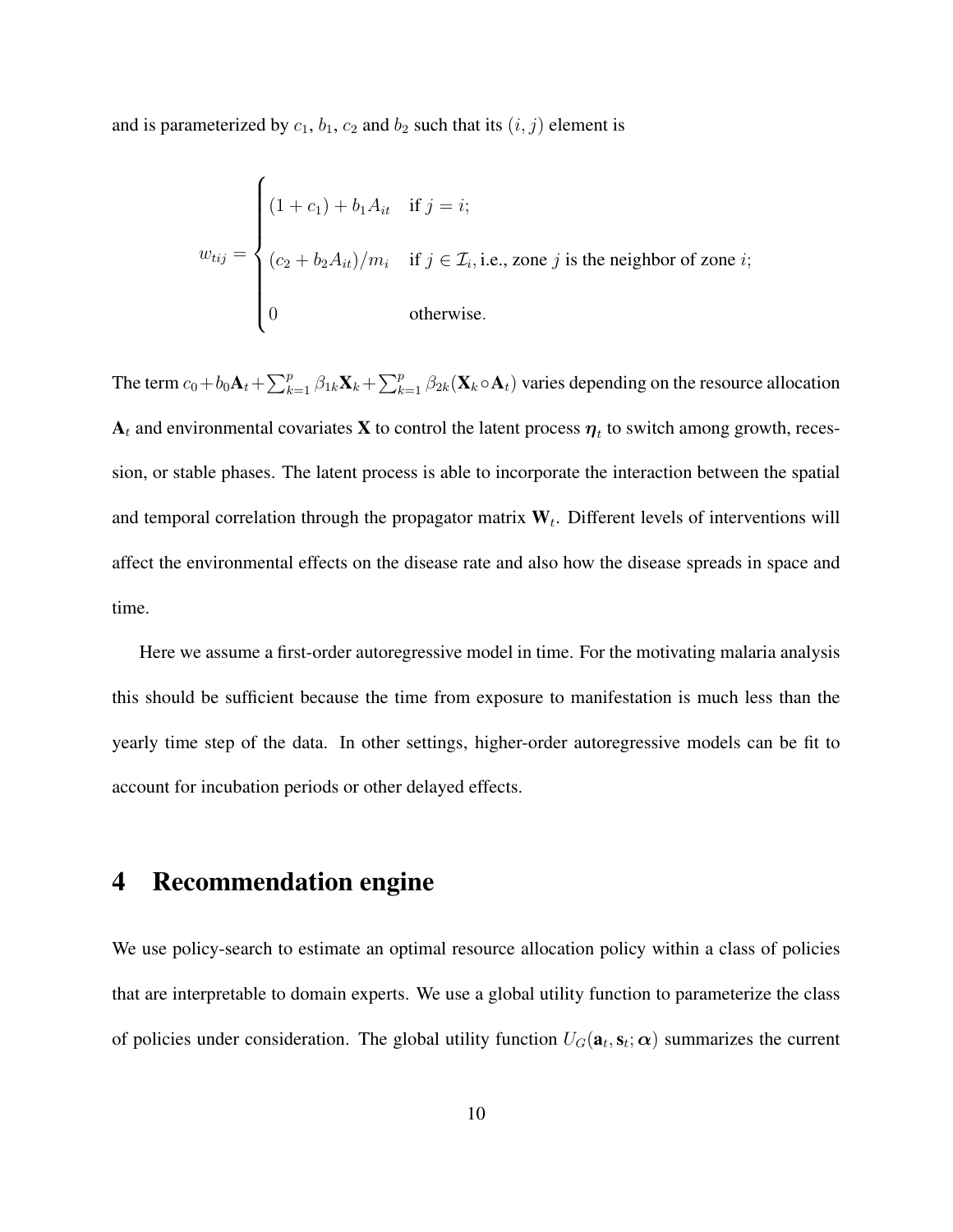and is parameterized by  $c_1$ ,  $b_1$ ,  $c_2$  and  $b_2$  such that its  $(i, j)$  element is

$$
w_{tij} = \begin{cases} (1+c_1) + b_1 A_{it} & \text{if } j = i; \\ (c_2 + b_2 A_{it})/m_i & \text{if } j \in \mathcal{I}_i, \text{i.e., zone } j \text{ is the neighbor of zone } i; \\ 0 & \text{otherwise.} \end{cases}
$$

The term  $c_0+b_0\mathbf{A}_t+\sum_{k=1}^p\beta_{1k}\mathbf{X}_k+\sum_{k=1}^p\beta_{2k}(\mathbf{X}_k\circ\mathbf{A}_t)$  varies depending on the resource allocation  ${\bf A}_t$  and environmental covariates  ${\bf X}$  to control the latent process  $\bm{\eta}_t$  to switch among growth, recession, or stable phases. The latent process is able to incorporate the interaction between the spatial and temporal correlation through the propagator matrix  $W_t$ . Different levels of interventions will affect the environmental effects on the disease rate and also how the disease spreads in space and time.

Here we assume a first-order autoregressive model in time. For the motivating malaria analysis this should be sufficient because the time from exposure to manifestation is much less than the yearly time step of the data. In other settings, higher-order autoregressive models can be fit to account for incubation periods or other delayed effects.

## <span id="page-9-0"></span>4 Recommendation engine

We use policy-search to estimate an optimal resource allocation policy within a class of policies that are interpretable to domain experts. We use a global utility function to parameterize the class of policies under consideration. The global utility function  $U_G(\mathbf{a}_t, \mathbf{s}_t; \alpha)$  summarizes the current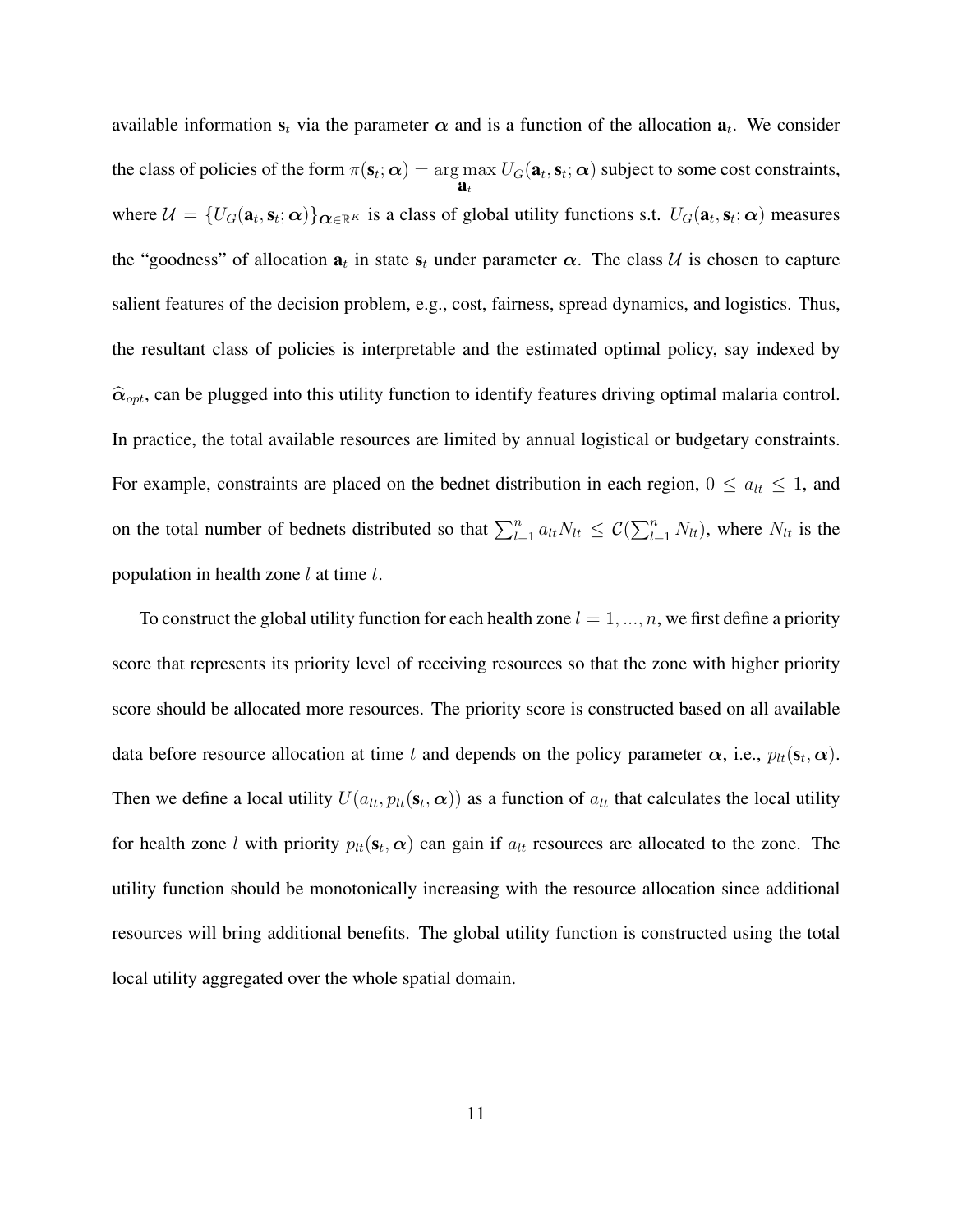available information  $s_t$  via the parameter  $\alpha$  and is a function of the allocation  $a_t$ . We consider the class of policies of the form  $\pi(\mathbf{s}_t; \boldsymbol{\alpha}) = \arg\max$  $\mathbf{\hat{a}}_t$  $U_G(\mathbf{a}_t, \mathbf{s}_t; \boldsymbol{\alpha})$  subject to some cost constraints, where  $\mathcal{U} = \{U_G(\mathbf{a}_t, \mathbf{s}_t; \alpha)\}_{\mathbf{\alpha} \in \mathbb{R}^K}$  is a class of global utility functions s.t.  $U_G(\mathbf{a}_t, \mathbf{s}_t; \alpha)$  measures the "goodness" of allocation  $a_t$  in state  $s_t$  under parameter  $\alpha$ . The class U is chosen to capture salient features of the decision problem, e.g., cost, fairness, spread dynamics, and logistics. Thus, the resultant class of policies is interpretable and the estimated optimal policy, say indexed by  $\hat{\alpha}_{opt}$ , can be plugged into this utility function to identify features driving optimal malaria control. In practice, the total available resources are limited by annual logistical or budgetary constraints. For example, constraints are placed on the bednet distribution in each region,  $0 \le a_{lt} \le 1$ , and on the total number of bednets distributed so that  $\sum_{l=1}^{n} a_{lt} N_{lt} \leq C(\sum_{l=1}^{n} N_{lt})$ , where  $N_{lt}$  is the population in health zone  $l$  at time  $t$ .

To construct the global utility function for each health zone  $l = 1, ..., n$ , we first define a priority score that represents its priority level of receiving resources so that the zone with higher priority score should be allocated more resources. The priority score is constructed based on all available data before resource allocation at time t and depends on the policy parameter  $\alpha$ , i.e.,  $p_{lt}(\mathbf{s}_t, \alpha)$ . Then we define a local utility  $U(a_{lt}, p_{lt}(\mathbf{s}_t, \boldsymbol{\alpha}))$  as a function of  $a_{lt}$  that calculates the local utility for health zone l with priority  $p_{lt}(\mathbf{s}_t, \alpha)$  can gain if  $a_{lt}$  resources are allocated to the zone. The utility function should be monotonically increasing with the resource allocation since additional resources will bring additional benefits. The global utility function is constructed using the total local utility aggregated over the whole spatial domain.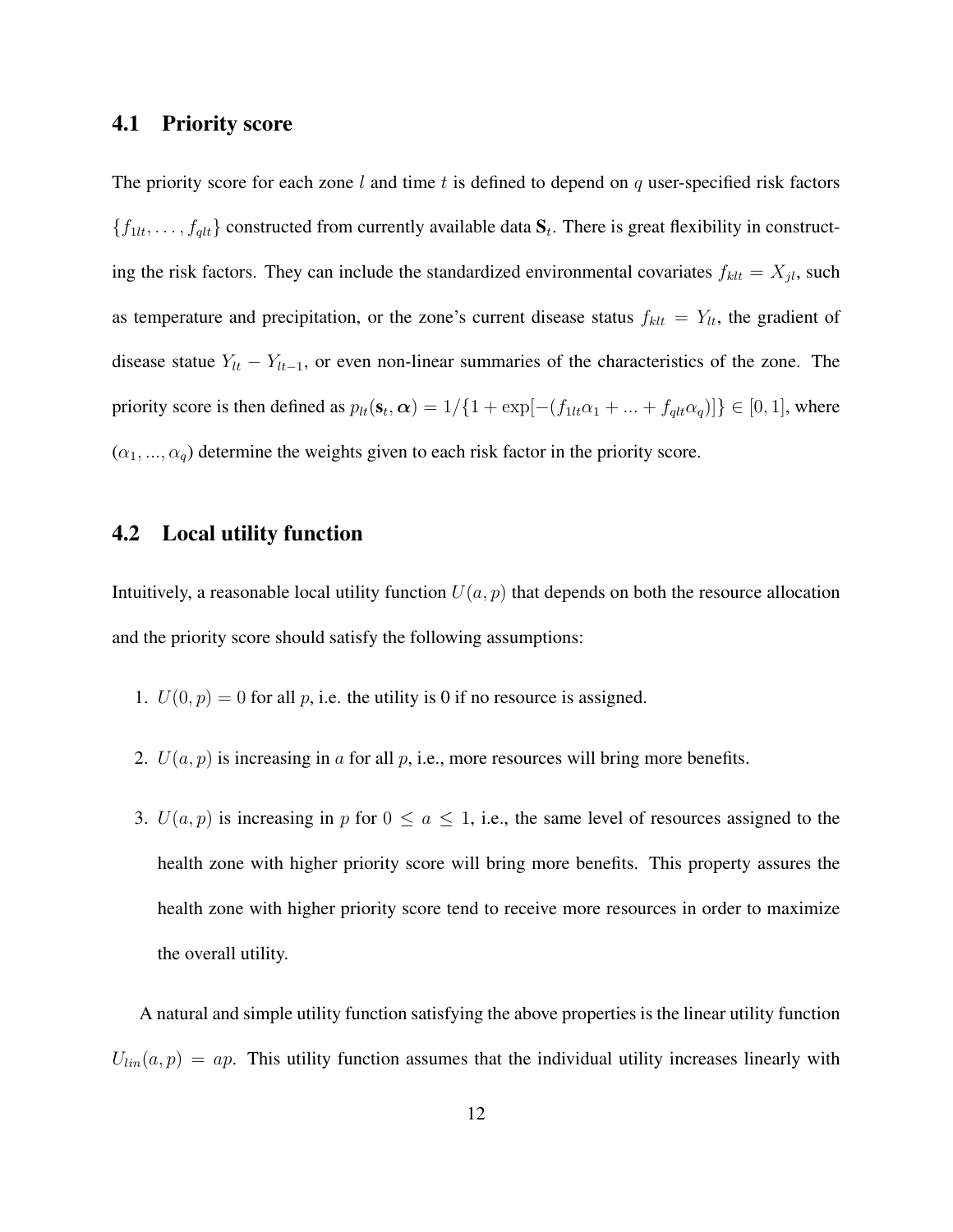#### 4.1 Priority score

The priority score for each zone  $l$  and time  $t$  is defined to depend on  $q$  user-specified risk factors  $\{f_{1lt}, \ldots, f_{qlt}\}$  constructed from currently available data  $S_t$ . There is great flexibility in constructing the risk factors. They can include the standardized environmental covariates  $f_{klt} = X_{jl}$ , such as temperature and precipitation, or the zone's current disease status  $f_{klt} = Y_{lt}$ , the gradient of disease statue  $Y_{lt} - Y_{lt-1}$ , or even non-linear summaries of the characteristics of the zone. The priority score is then defined as  $p_{lt}(\mathbf{s}_t, \boldsymbol{\alpha}) = 1/\{1 + \exp[-(f_{1lt}\alpha_1 + ... + f_{qlt}\alpha_q)]\} \in [0, 1]$ , where  $(\alpha_1, ..., \alpha_q)$  determine the weights given to each risk factor in the priority score.

### 4.2 Local utility function

Intuitively, a reasonable local utility function  $U(a, p)$  that depends on both the resource allocation and the priority score should satisfy the following assumptions:

- 1.  $U(0, p) = 0$  for all p, i.e. the utility is 0 if no resource is assigned.
- 2.  $U(a, p)$  is increasing in a for all p, i.e., more resources will bring more benefits.
- 3.  $U(a, p)$  is increasing in p for  $0 \le a \le 1$ , i.e., the same level of resources assigned to the health zone with higher priority score will bring more benefits. This property assures the health zone with higher priority score tend to receive more resources in order to maximize the overall utility.

A natural and simple utility function satisfying the above properties is the linear utility function  $U_{lin}(a, p) = ap$ . This utility function assumes that the individual utility increases linearly with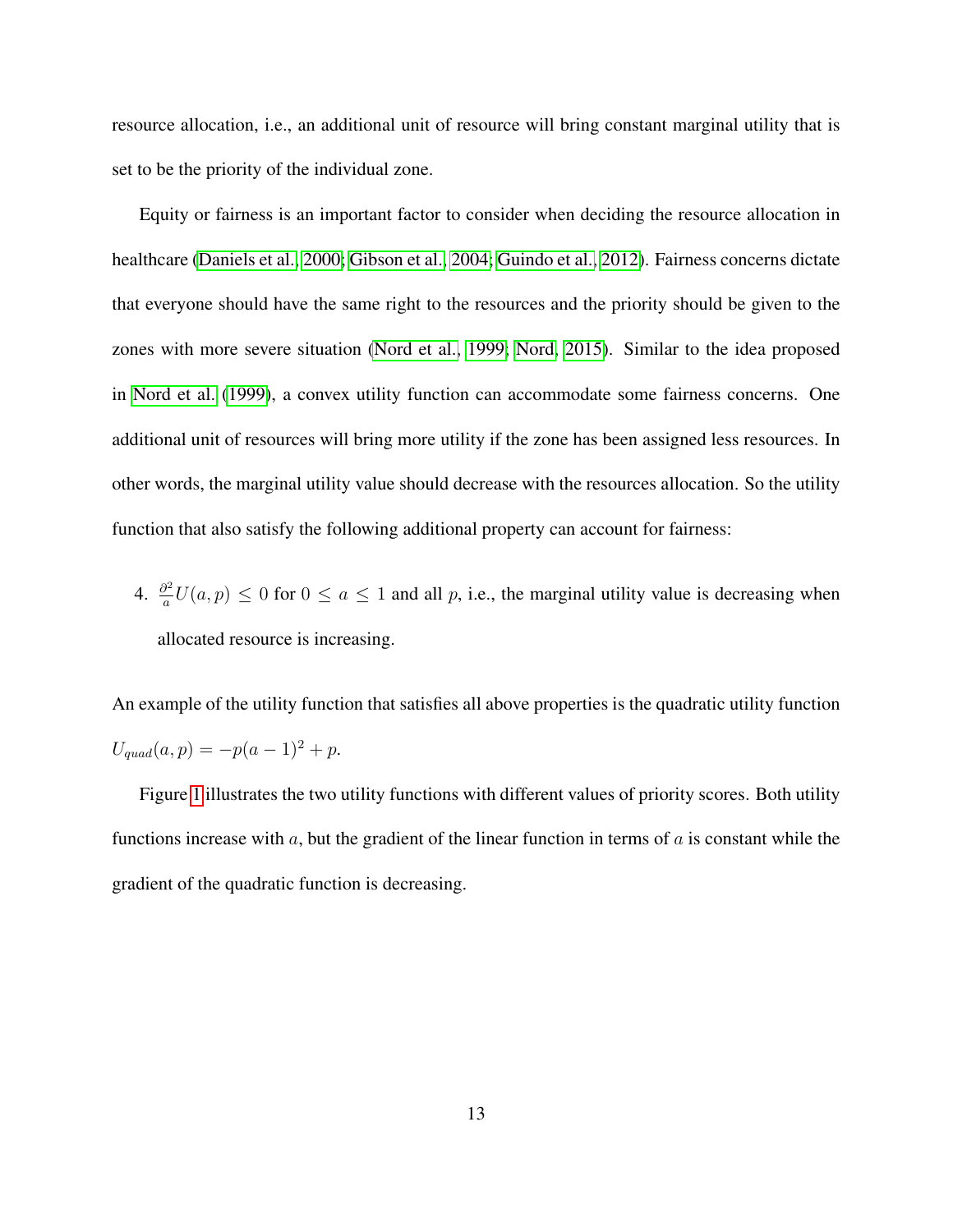resource allocation, i.e., an additional unit of resource will bring constant marginal utility that is set to be the priority of the individual zone.

Equity or fairness is an important factor to consider when deciding the resource allocation in healthcare [\(Daniels et al., 2000;](#page-28-8) [Gibson et al., 2004;](#page-28-9) [Guindo et al., 2012\)](#page-29-10). Fairness concerns dictate that everyone should have the same right to the resources and the priority should be given to the zones with more severe situation [\(Nord et al., 1999;](#page-30-9) [Nord, 2015\)](#page-30-10). Similar to the idea proposed in [Nord et al.](#page-30-9) [\(1999\)](#page-30-9), a convex utility function can accommodate some fairness concerns. One additional unit of resources will bring more utility if the zone has been assigned less resources. In other words, the marginal utility value should decrease with the resources allocation. So the utility function that also satisfy the following additional property can account for fairness:

4.  $\frac{\partial^2}{\partial x^2}$  $\frac{d^2}{dx^2}U(a, p) \le 0$  for  $0 \le a \le 1$  and all p, i.e., the marginal utility value is decreasing when allocated resource is increasing.

An example of the utility function that satisfies all above properties is the quadratic utility function  $U_{quad}(a, p) = -p(a - 1)^2 + p.$ 

Figure [1](#page-13-0) illustrates the two utility functions with different values of priority scores. Both utility functions increase with  $a$ , but the gradient of the linear function in terms of  $a$  is constant while the gradient of the quadratic function is decreasing.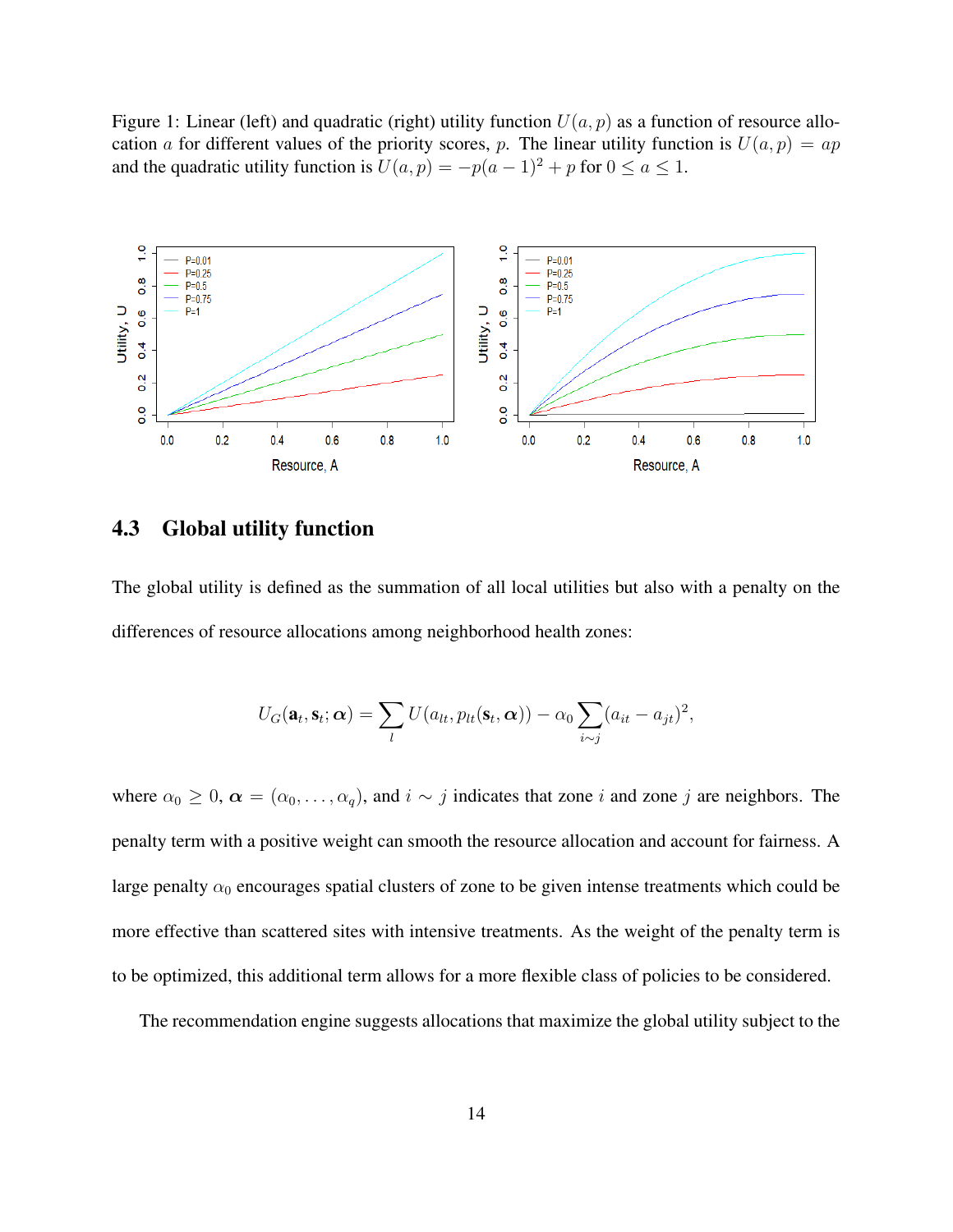<span id="page-13-0"></span>Figure 1: Linear (left) and quadratic (right) utility function  $U(a, p)$  as a function of resource allocation a for different values of the priority scores, p. The linear utility function is  $U(a, p) = ap$ and the quadratic utility function is  $U(a, p) = -p(a - 1)^2 + p$  for  $0 \le a \le 1$ .



#### 4.3 Global utility function

The global utility is defined as the summation of all local utilities but also with a penalty on the differences of resource allocations among neighborhood health zones:

$$
U_G(\mathbf{a}_t, \mathbf{s}_t; \boldsymbol{\alpha}) = \sum_l U(a_{lt}, p_{lt}(\mathbf{s}_t, \boldsymbol{\alpha})) - \alpha_0 \sum_{i \sim j} (a_{it} - a_{jt})^2,
$$

where  $\alpha_0 \geq 0$ ,  $\alpha = (\alpha_0, \dots, \alpha_q)$ , and  $i \sim j$  indicates that zone i and zone j are neighbors. The penalty term with a positive weight can smooth the resource allocation and account for fairness. A large penalty  $\alpha_0$  encourages spatial clusters of zone to be given intense treatments which could be more effective than scattered sites with intensive treatments. As the weight of the penalty term is to be optimized, this additional term allows for a more flexible class of policies to be considered.

The recommendation engine suggests allocations that maximize the global utility subject to the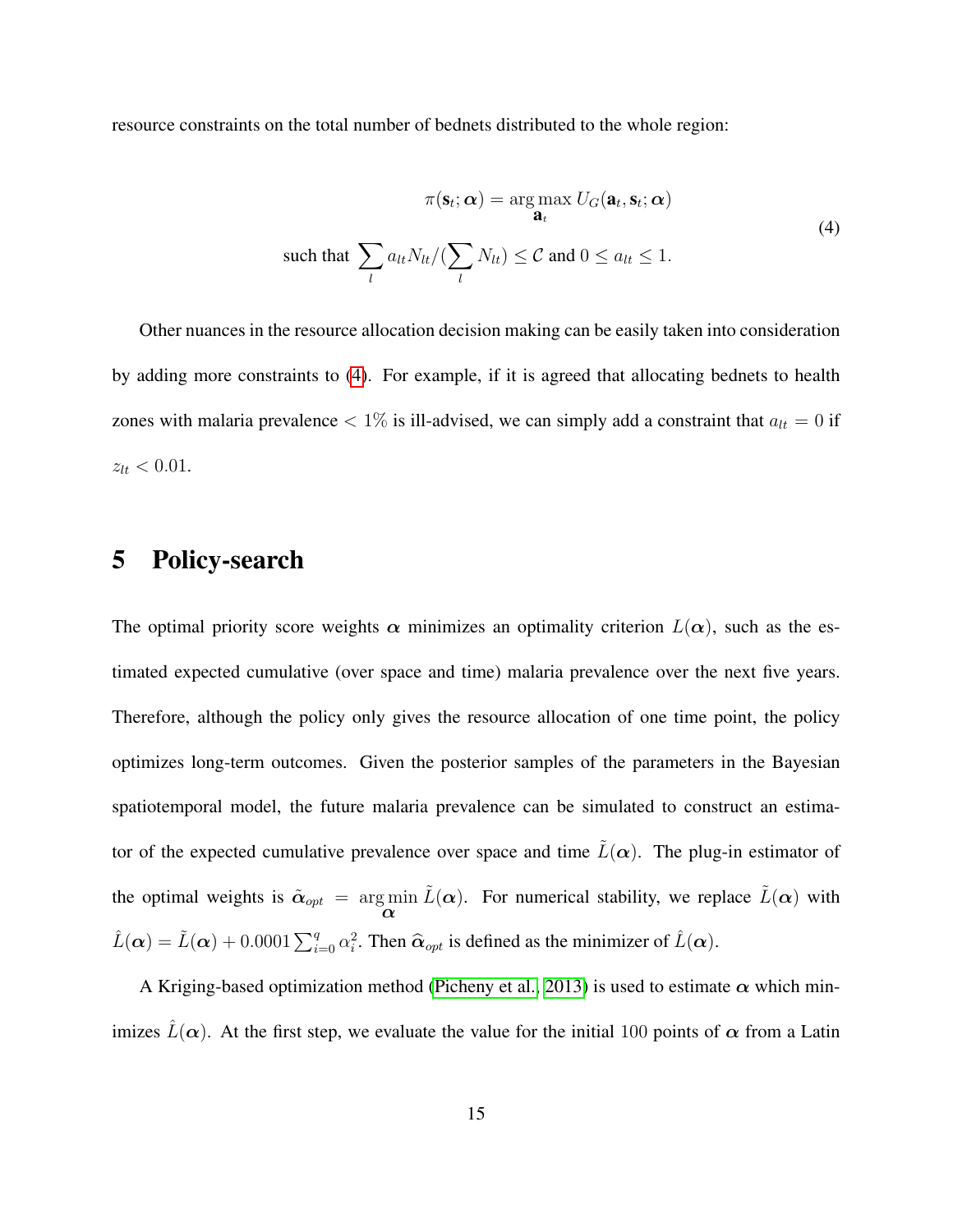resource constraints on the total number of bednets distributed to the whole region:

<span id="page-14-1"></span>
$$
\pi(\mathbf{s}_t; \alpha) = \arg \max_{\mathbf{a}_t} U_G(\mathbf{a}_t, \mathbf{s}_t; \alpha)
$$
  
such that 
$$
\sum_l a_{lt} N_{lt} / (\sum_l N_{lt}) \leq C \text{ and } 0 \leq a_{lt} \leq 1.
$$
 (4)

Other nuances in the resource allocation decision making can be easily taken into consideration by adding more constraints to [\(4\)](#page-14-1). For example, if it is agreed that allocating bednets to health zones with malaria prevalence  $< 1\%$  is ill-advised, we can simply add a constraint that  $a_{lt} = 0$  if  $z_{lt} < 0.01$ .

## <span id="page-14-0"></span>5 Policy-search

The optimal priority score weights  $\alpha$  minimizes an optimality criterion  $L(\alpha)$ , such as the estimated expected cumulative (over space and time) malaria prevalence over the next five years. Therefore, although the policy only gives the resource allocation of one time point, the policy optimizes long-term outcomes. Given the posterior samples of the parameters in the Bayesian spatiotemporal model, the future malaria prevalence can be simulated to construct an estimator of the expected cumulative prevalence over space and time  $\tilde{L}(\alpha)$ . The plug-in estimator of the optimal weights is  $\tilde{\alpha}_{opt}$  = arg min α  $\tilde{L}(\alpha)$ . For numerical stability, we replace  $\tilde{L}(\alpha)$  with  $\hat{L}(\alpha) = \tilde{L}(\alpha) + 0.0001 \sum_{i=0}^{q} \alpha_i^2$ . Then  $\hat{\alpha}_{opt}$  is defined as the minimizer of  $\hat{L}(\alpha)$ .

A Kriging-based optimization method [\(Picheny et al., 2013\)](#page-30-11) is used to estimate  $\alpha$  which minimizes  $\hat{L}(\alpha)$ . At the first step, we evaluate the value for the initial 100 points of  $\alpha$  from a Latin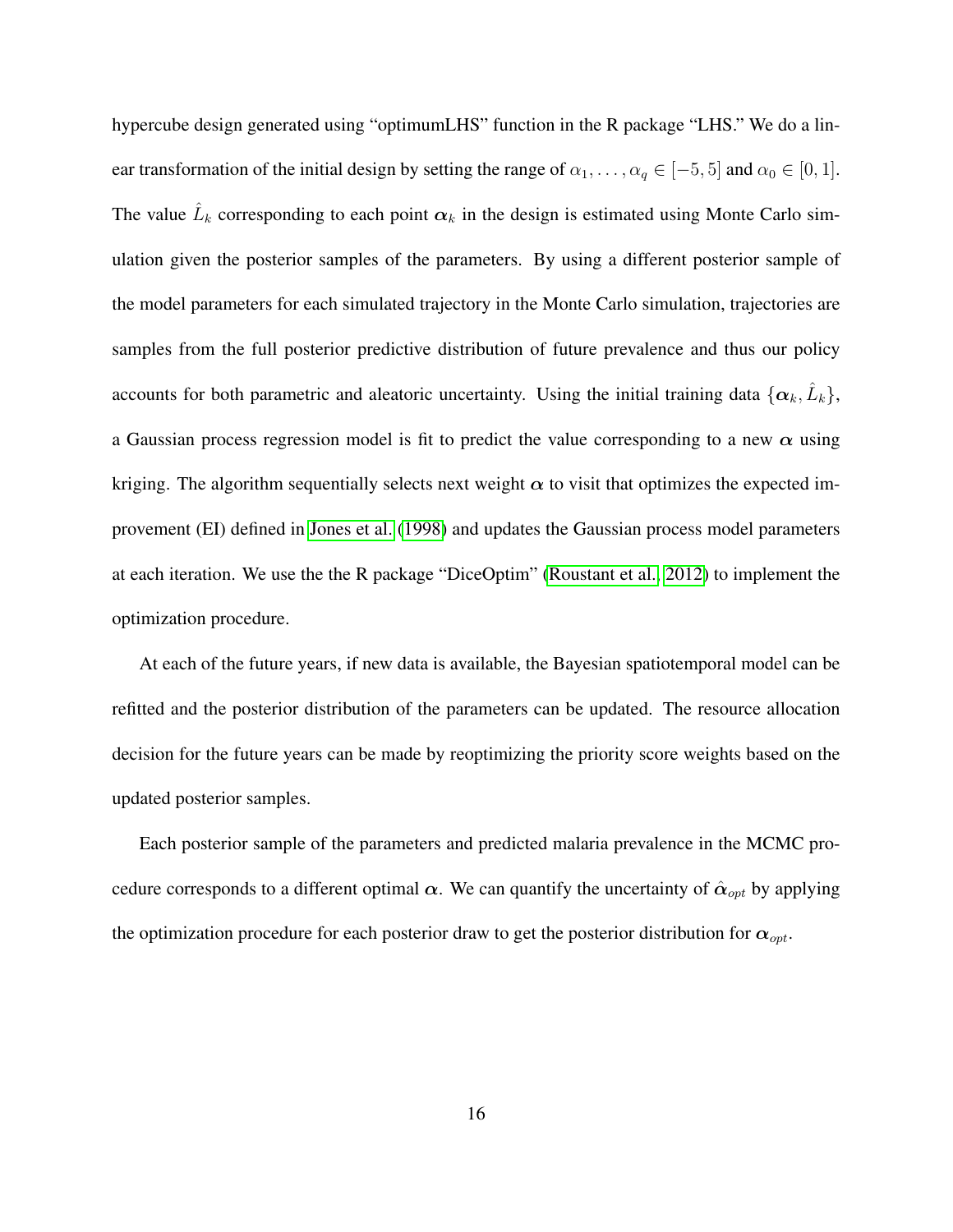hypercube design generated using "optimumLHS" function in the R package "LHS." We do a linear transformation of the initial design by setting the range of  $\alpha_1, \ldots, \alpha_q \in [-5, 5]$  and  $\alpha_0 \in [0, 1]$ . The value  $\hat{L}_k$  corresponding to each point  $\alpha_k$  in the design is estimated using Monte Carlo simulation given the posterior samples of the parameters. By using a different posterior sample of the model parameters for each simulated trajectory in the Monte Carlo simulation, trajectories are samples from the full posterior predictive distribution of future prevalence and thus our policy accounts for both parametric and aleatoric uncertainty. Using the initial training data  $\{\alpha_k, \hat{L}_k\},$ a Gaussian process regression model is fit to predict the value corresponding to a new  $\alpha$  using kriging. The algorithm sequentially selects next weight  $\alpha$  to visit that optimizes the expected improvement (EI) defined in [Jones et al.](#page-29-11) [\(1998\)](#page-29-11) and updates the Gaussian process model parameters at each iteration. We use the the R package "DiceOptim" [\(Roustant et al., 2012\)](#page-30-12) to implement the optimization procedure.

At each of the future years, if new data is available, the Bayesian spatiotemporal model can be refitted and the posterior distribution of the parameters can be updated. The resource allocation decision for the future years can be made by reoptimizing the priority score weights based on the updated posterior samples.

Each posterior sample of the parameters and predicted malaria prevalence in the MCMC procedure corresponds to a different optimal  $\alpha$ . We can quantify the uncertainty of  $\hat{\alpha}_{opt}$  by applying the optimization procedure for each posterior draw to get the posterior distribution for  $\alpha_{opt}$ .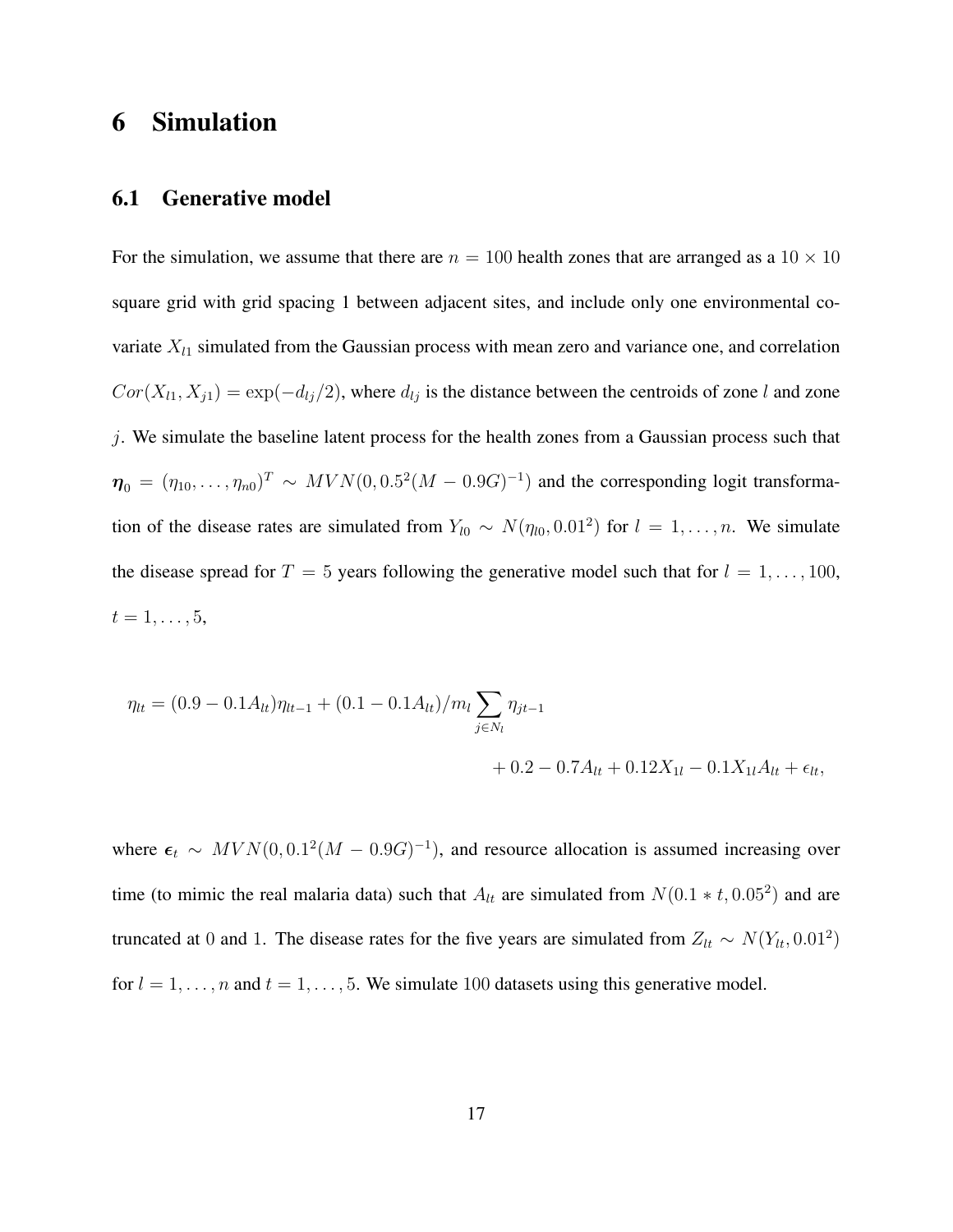### <span id="page-16-0"></span>6 Simulation

#### 6.1 Generative model

For the simulation, we assume that there are  $n = 100$  health zones that are arranged as a  $10 \times 10$ square grid with grid spacing 1 between adjacent sites, and include only one environmental covariate  $X_{l1}$  simulated from the Gaussian process with mean zero and variance one, and correlation  $Cor(X_{l1}, X_{j1}) = \exp(-d_{lj}/2)$ , where  $d_{lj}$  is the distance between the centroids of zone l and zone j. We simulate the baseline latent process for the health zones from a Gaussian process such that  $\eta_0 = (\eta_{10}, \dots, \eta_{n0})^T \sim MVN(0, 0.5^2(M-0.9G)^{-1})$  and the corresponding logit transformation of the disease rates are simulated from  $Y_{l0} \sim N(\eta_{l0}, 0.01^2)$  for  $l = 1, \ldots, n$ . We simulate the disease spread for  $T = 5$  years following the generative model such that for  $l = 1, \ldots, 100$ ,  $t = 1, \ldots, 5,$ 

$$
\eta_{lt} = (0.9 - 0.1A_{lt})\eta_{lt-1} + (0.1 - 0.1A_{lt})/m_l \sum_{j \in N_l} \eta_{jt-1} + 0.2 - 0.7A_{lt} + 0.12X_{1l} - 0.1X_{1l}A_{lt} + \epsilon_{lt},
$$

where  $\epsilon_t$  ~  $MVN(0, 0.1^2(M – 0.9G)^{-1})$ , and resource allocation is assumed increasing over time (to mimic the real malaria data) such that  $A_{lt}$  are simulated from  $N(0.1 * t, 0.05^2)$  and are truncated at 0 and 1. The disease rates for the five years are simulated from  $Z_{lt} \sim N(Y_{lt}, 0.01^2)$ for  $l = 1, \ldots, n$  and  $t = 1, \ldots, 5$ . We simulate 100 datasets using this generative model.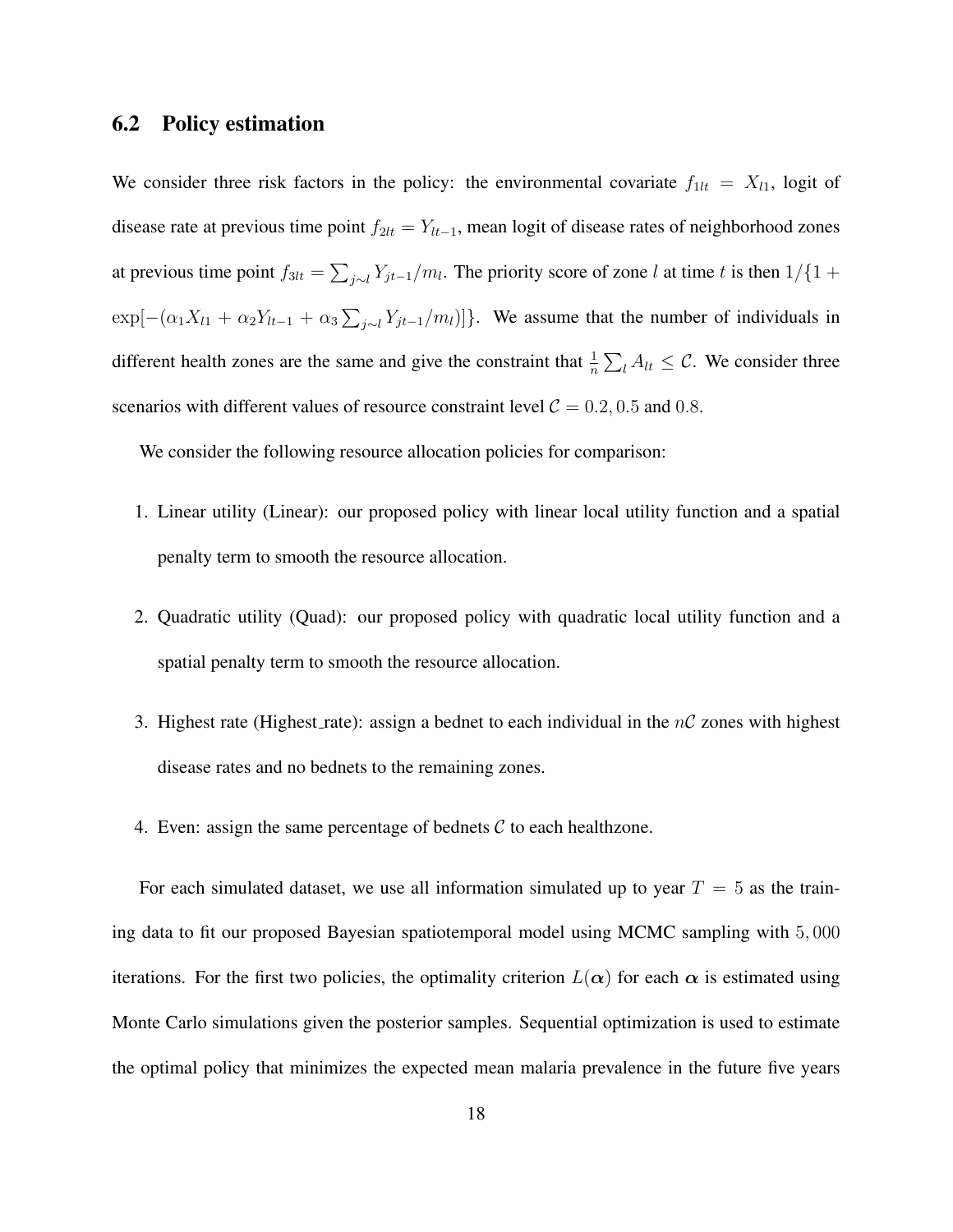### 6.2 Policy estimation

We consider three risk factors in the policy: the environmental covariate  $f_{1lt} = X_{l1}$ , logit of disease rate at previous time point  $f_{2lt} = Y_{lt-1}$ , mean logit of disease rates of neighborhood zones at previous time point  $f_{3lt} = \sum_{j\sim l} Y_{jt-1}/m_l$ . The priority score of zone l at time t is then  $1/\{1+\}$  $\exp[-(\alpha_1 X_{l1} + \alpha_2 Y_{lt-1} + \alpha_3 \sum_{j \sim l} Y_{jt-1}/m_l)]$ . We assume that the number of individuals in different health zones are the same and give the constraint that  $\frac{1}{n} \sum_l A_{lt} \leq C$ . We consider three scenarios with different values of resource constraint level  $C = 0.2, 0.5$  and 0.8.

We consider the following resource allocation policies for comparison:

- 1. Linear utility (Linear): our proposed policy with linear local utility function and a spatial penalty term to smooth the resource allocation.
- 2. Quadratic utility (Quad): our proposed policy with quadratic local utility function and a spatial penalty term to smooth the resource allocation.
- 3. Highest rate (Highest rate): assign a bednet to each individual in the  $nC$  zones with highest disease rates and no bednets to the remaining zones.
- 4. Even: assign the same percentage of bednets  $C$  to each healthzone.

For each simulated dataset, we use all information simulated up to year  $T = 5$  as the training data to fit our proposed Bayesian spatiotemporal model using MCMC sampling with 5, 000 iterations. For the first two policies, the optimality criterion  $L(\alpha)$  for each  $\alpha$  is estimated using Monte Carlo simulations given the posterior samples. Sequential optimization is used to estimate the optimal policy that minimizes the expected mean malaria prevalence in the future five years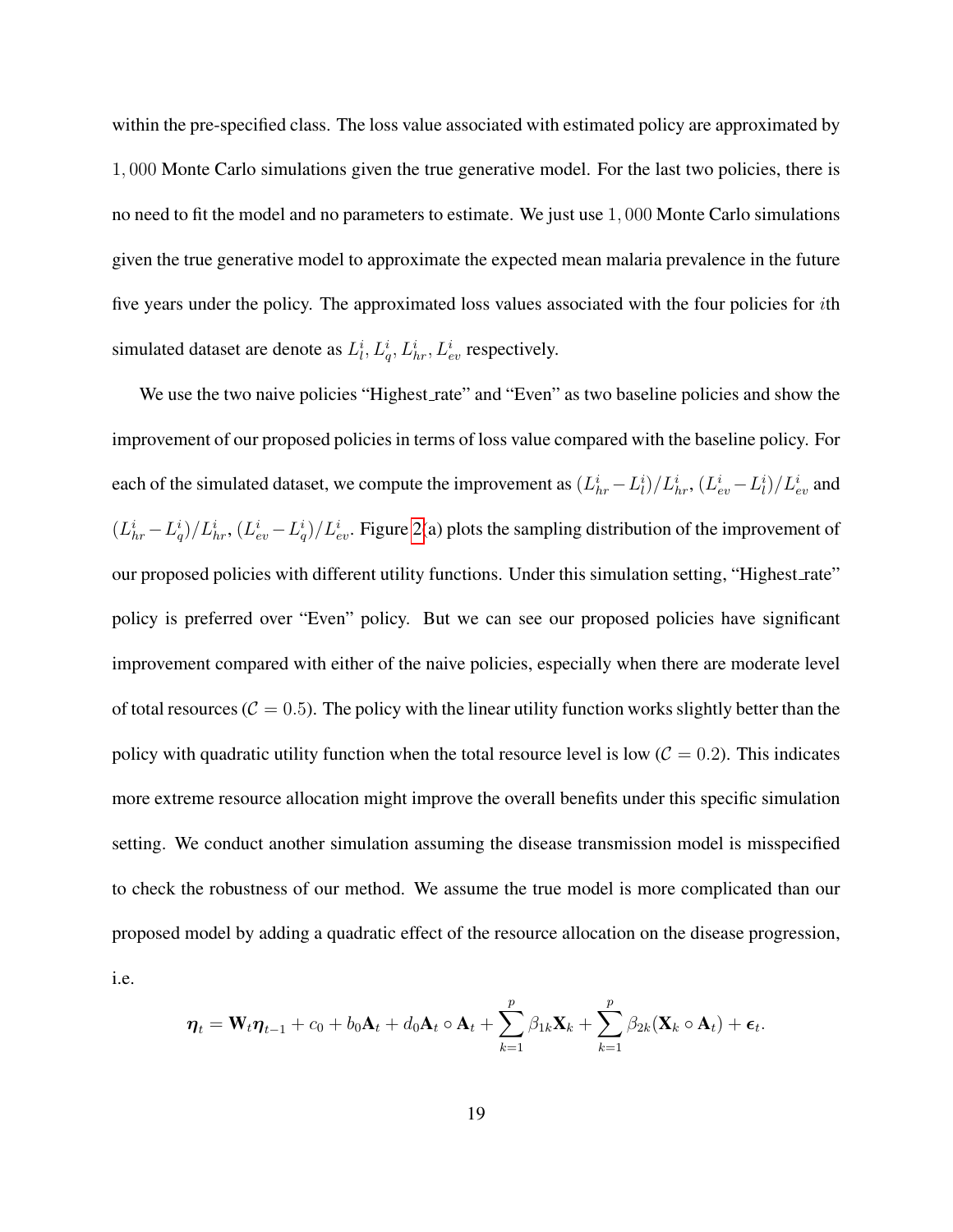within the pre-specified class. The loss value associated with estimated policy are approximated by 1, 000 Monte Carlo simulations given the true generative model. For the last two policies, there is no need to fit the model and no parameters to estimate. We just use 1, 000 Monte Carlo simulations given the true generative model to approximate the expected mean malaria prevalence in the future five years under the policy. The approximated loss values associated with the four policies for ith simulated dataset are denote as  $L_l^i$ ,  $L_q^i$ ,  $L_{hr}^i$ ,  $L_{ev}^i$  respectively.

We use the two naive policies "Highest\_rate" and "Even" as two baseline policies and show the improvement of our proposed policies in terms of loss value compared with the baseline policy. For each of the simulated dataset, we compute the improvement as  $(L_{hr}^i - L_l^i)/L_{hr}^i$ ,  $(L_{ev}^i - L_l^i)/L_{ev}^i$  and  $(L_{hr}^i - L_q^i)/L_{hr}^i$ ,  $(L_{ev}^i - L_q^i)/L_{ev}^i$ . Figure [2\(](#page-20-0)a) plots the sampling distribution of the improvement of our proposed policies with different utility functions. Under this simulation setting, "Highest\_rate" policy is preferred over "Even" policy. But we can see our proposed policies have significant improvement compared with either of the naive policies, especially when there are moderate level of total resources ( $C = 0.5$ ). The policy with the linear utility function works slightly better than the policy with quadratic utility function when the total resource level is low  $(C = 0.2)$ . This indicates more extreme resource allocation might improve the overall benefits under this specific simulation setting. We conduct another simulation assuming the disease transmission model is misspecified to check the robustness of our method. We assume the true model is more complicated than our proposed model by adding a quadratic effect of the resource allocation on the disease progression, i.e.

$$
\boldsymbol{\eta}_t = \mathbf{W}_t \boldsymbol{\eta}_{t-1} + c_0 + b_0 \mathbf{A}_t + d_0 \mathbf{A}_t \circ \mathbf{A}_t + \sum_{k=1}^p \beta_{1k} \mathbf{X}_k + \sum_{k=1}^p \beta_{2k} (\mathbf{X}_k \circ \mathbf{A}_t) + \boldsymbol{\epsilon}_t.
$$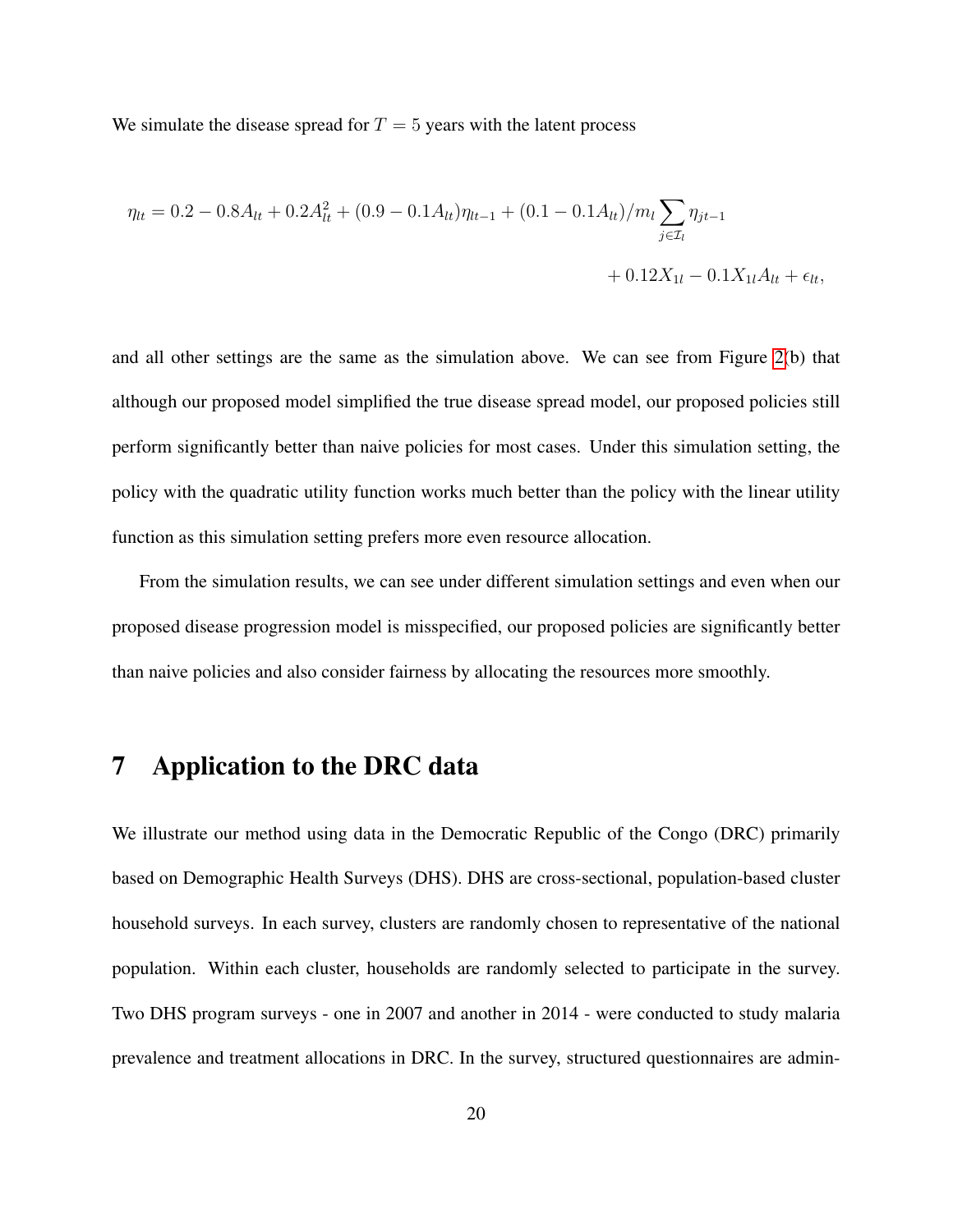We simulate the disease spread for  $T = 5$  years with the latent process

$$
\eta_{lt} = 0.2 - 0.8A_{lt} + 0.2A_{lt}^2 + (0.9 - 0.1A_{lt})\eta_{lt-1} + (0.1 - 0.1A_{lt})/m_l \sum_{j \in \mathcal{I}_l} \eta_{jt-1} + 0.12X_{1l} - 0.1X_{1l}A_{lt} + \epsilon_{lt},
$$

and all other settings are the same as the simulation above. We can see from Figure [2\(](#page-20-0)b) that although our proposed model simplified the true disease spread model, our proposed policies still perform significantly better than naive policies for most cases. Under this simulation setting, the policy with the quadratic utility function works much better than the policy with the linear utility function as this simulation setting prefers more even resource allocation.

From the simulation results, we can see under different simulation settings and even when our proposed disease progression model is misspecified, our proposed policies are significantly better than naive policies and also consider fairness by allocating the resources more smoothly.

## <span id="page-19-0"></span>7 Application to the DRC data

We illustrate our method using data in the Democratic Republic of the Congo (DRC) primarily based on Demographic Health Surveys (DHS). DHS are cross-sectional, population-based cluster household surveys. In each survey, clusters are randomly chosen to representative of the national population. Within each cluster, households are randomly selected to participate in the survey. Two DHS program surveys - one in 2007 and another in 2014 - were conducted to study malaria prevalence and treatment allocations in DRC. In the survey, structured questionnaires are admin-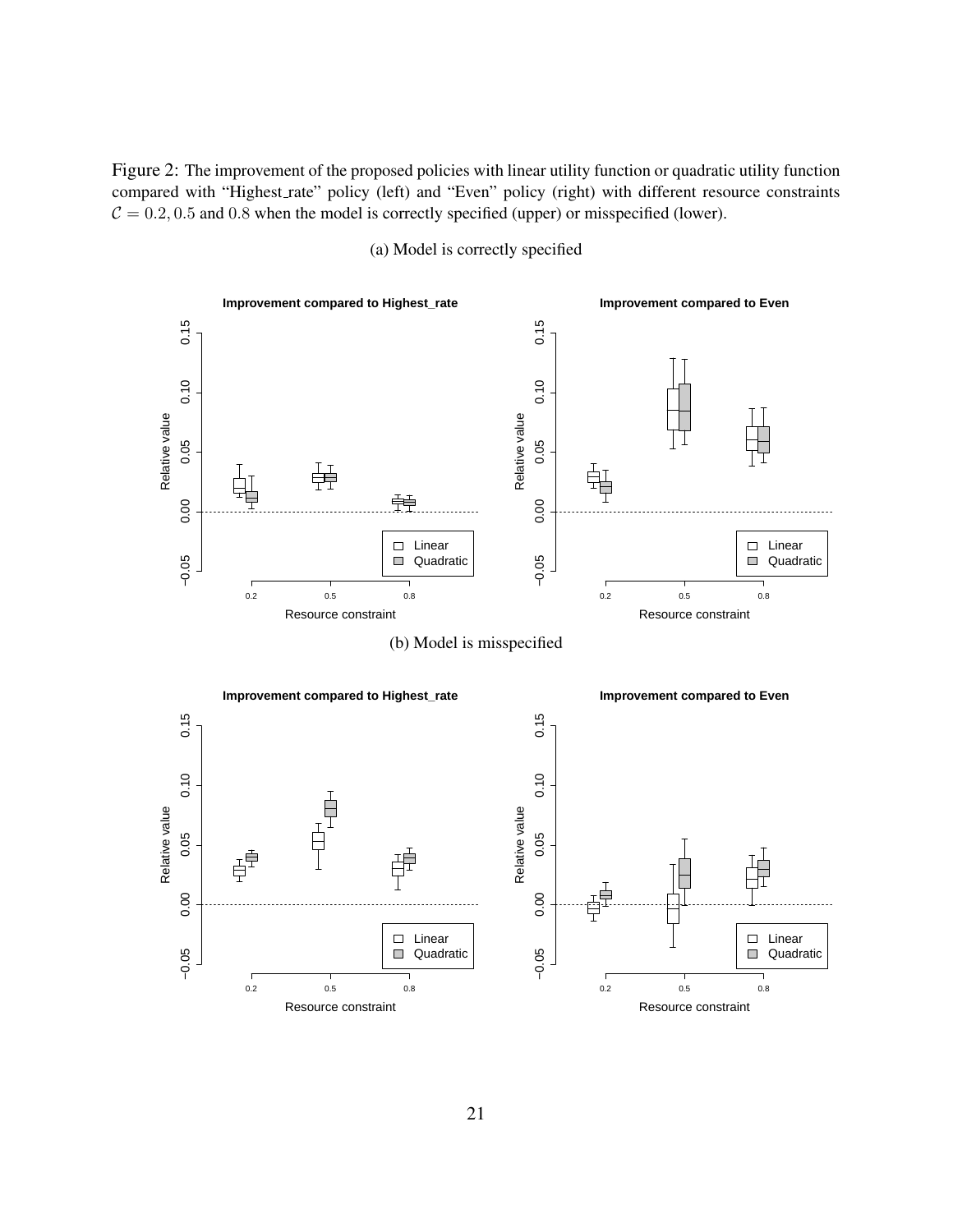<span id="page-20-0"></span>Figure 2: The improvement of the proposed policies with linear utility function or quadratic utility function compared with "Highest rate" policy (left) and "Even" policy (right) with different resource constraints  $C = 0.2, 0.5$  and 0.8 when the model is correctly specified (upper) or misspecified (lower).



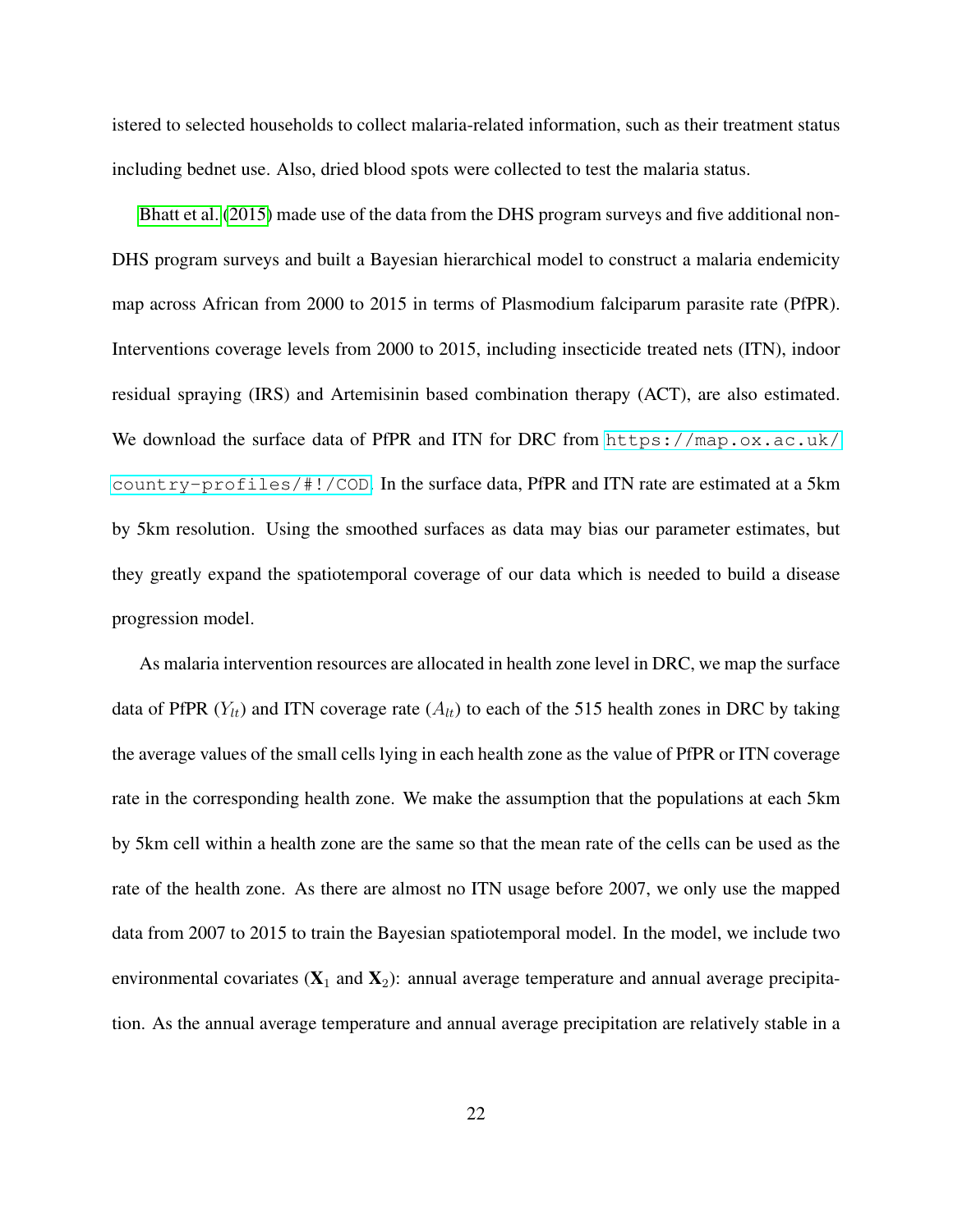istered to selected households to collect malaria-related information, such as their treatment status including bednet use. Also, dried blood spots were collected to test the malaria status.

[Bhatt et al.](#page-28-1) [\(2015\)](#page-28-1) made use of the data from the DHS program surveys and five additional non-DHS program surveys and built a Bayesian hierarchical model to construct a malaria endemicity map across African from 2000 to 2015 in terms of Plasmodium falciparum parasite rate (PfPR). Interventions coverage levels from 2000 to 2015, including insecticide treated nets (ITN), indoor residual spraying (IRS) and Artemisinin based combination therapy (ACT), are also estimated. We download the surface data of PfPR and ITN for DRC from  $https://map.ox.ac.uk/$  $country-profiles/H!/COD.$  In the surface data, PfPR and ITN rate are estimated at a 5km by 5km resolution. Using the smoothed surfaces as data may bias our parameter estimates, but they greatly expand the spatiotemporal coverage of our data which is needed to build a disease progression model.

As malaria intervention resources are allocated in health zone level in DRC, we map the surface data of PfPR  $(Y_{lt})$  and ITN coverage rate  $(A_{lt})$  to each of the 515 health zones in DRC by taking the average values of the small cells lying in each health zone as the value of PfPR or ITN coverage rate in the corresponding health zone. We make the assumption that the populations at each 5km by 5km cell within a health zone are the same so that the mean rate of the cells can be used as the rate of the health zone. As there are almost no ITN usage before 2007, we only use the mapped data from 2007 to 2015 to train the Bayesian spatiotemporal model. In the model, we include two environmental covariates  $(X_1 \text{ and } X_2)$ : annual average temperature and annual average precipitation. As the annual average temperature and annual average precipitation are relatively stable in a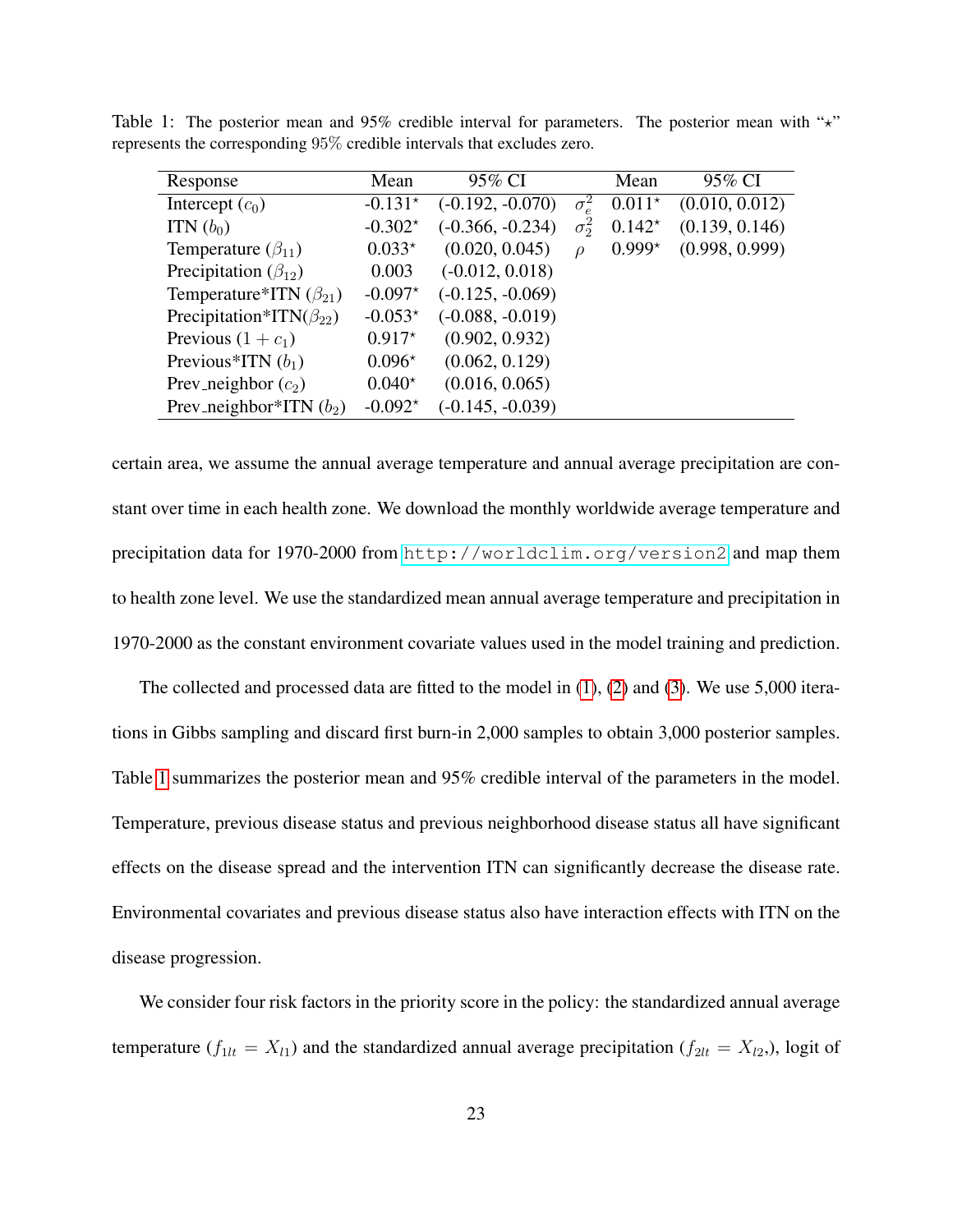| Response                          | Mean      | 95% CI             |              | Mean     | 95% CI         |
|-----------------------------------|-----------|--------------------|--------------|----------|----------------|
| Intercept $(c_0)$                 | $-0.131*$ | $(-0.192, -0.070)$ | $\sigma_e^2$ | $0.011*$ | (0.010, 0.012) |
| ITN $(b_0)$                       | $-0.302*$ | $(-0.366, -0.234)$ | $\sigma^2$   | $0.142*$ | (0.139, 0.146) |
| Temperature $(\beta_{11})$        | $0.033*$  | (0.020, 0.045)     | $\Omega$     | $0.999*$ | (0.998, 0.999) |
| Precipitation ( $\beta_{12}$ )    | 0.003     | $(-0.012, 0.018)$  |              |          |                |
| Temperature*ITN $(\beta_{21})$    | $-0.097*$ | $(-0.125, -0.069)$ |              |          |                |
| Precipitation*ITN( $\beta_{22}$ ) | $-0.053*$ | $(-0.088, -0.019)$ |              |          |                |
| Previous $(1 + c_1)$              | $0.917*$  | (0.902, 0.932)     |              |          |                |
| Previous*ITN $(b_1)$              | $0.096*$  | (0.062, 0.129)     |              |          |                |
| Prev_neighbor $(c_2)$             | $0.040*$  | (0.016, 0.065)     |              |          |                |
| Prev_neighbor*ITN $(b_2)$         | $-0.092*$ | $(-0.145, -0.039)$ |              |          |                |

<span id="page-22-0"></span>Table 1: The posterior mean and 95% credible interval for parameters. The posterior mean with " $\star$ " represents the corresponding 95% credible intervals that excludes zero.

certain area, we assume the annual average temperature and annual average precipitation are constant over time in each health zone. We download the monthly worldwide average temperature and precipitation data for 1970-2000 from <http://worldclim.org/version2> and map them to health zone level. We use the standardized mean annual average temperature and precipitation in 1970-2000 as the constant environment covariate values used in the model training and prediction.

The collected and processed data are fitted to the model in [\(1\)](#page-7-1), [\(2\)](#page-7-2) and [\(3\)](#page-8-0). We use 5,000 iterations in Gibbs sampling and discard first burn-in 2,000 samples to obtain 3,000 posterior samples. Table [1](#page-22-0) summarizes the posterior mean and 95% credible interval of the parameters in the model. Temperature, previous disease status and previous neighborhood disease status all have significant effects on the disease spread and the intervention ITN can significantly decrease the disease rate. Environmental covariates and previous disease status also have interaction effects with ITN on the disease progression.

We consider four risk factors in the priority score in the policy: the standardized annual average temperature ( $f_{1lt} = X_{l1}$ ) and the standardized annual average precipitation ( $f_{2lt} = X_{l2}$ ), logit of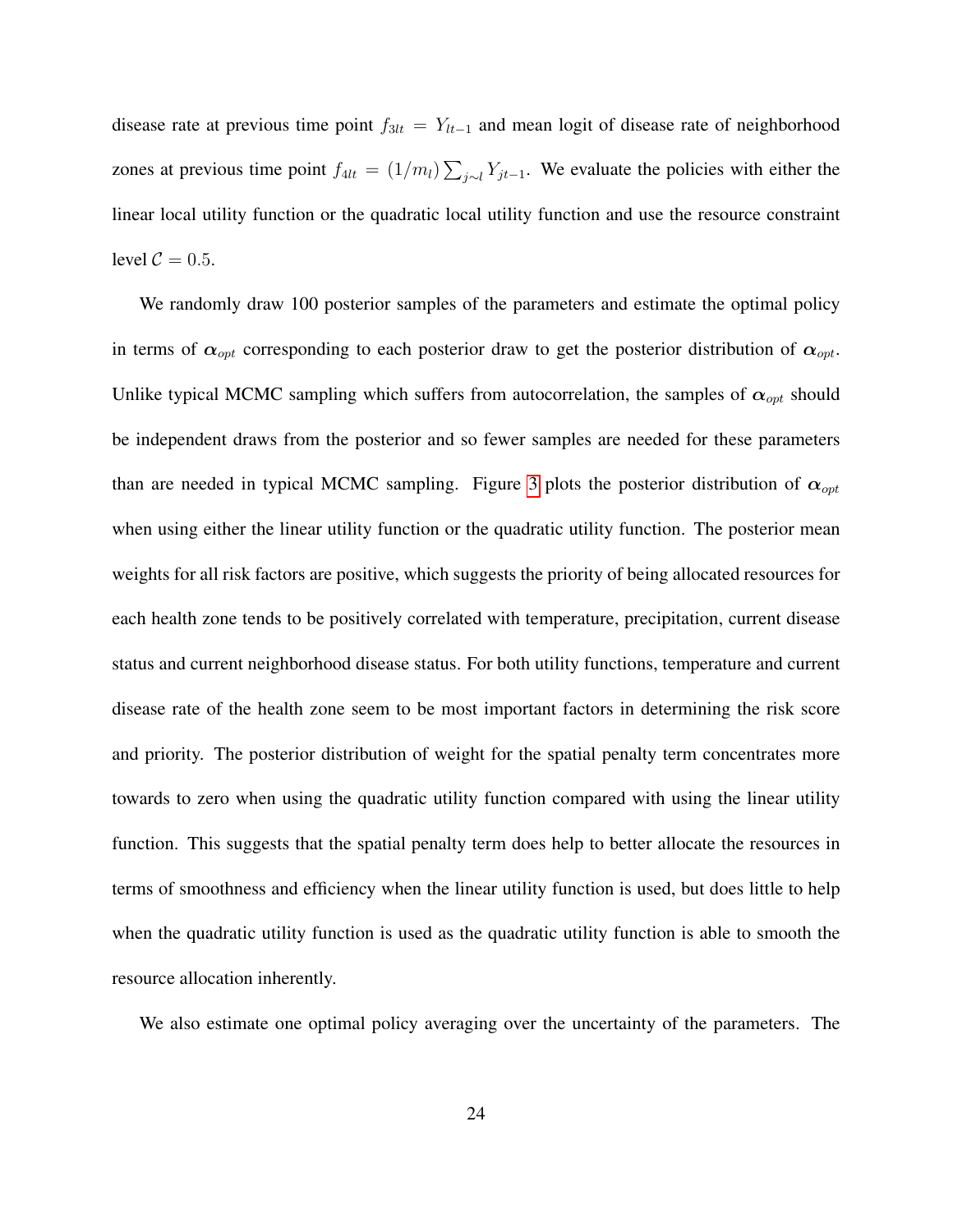disease rate at previous time point  $f_{3lt} = Y_{lt-1}$  and mean logit of disease rate of neighborhood zones at previous time point  $f_{4lt} = (1/m_l) \sum_{j \sim l} Y_{jt-1}$ . We evaluate the policies with either the linear local utility function or the quadratic local utility function and use the resource constraint level  $C = 0.5$ .

We randomly draw 100 posterior samples of the parameters and estimate the optimal policy in terms of  $\alpha_{opt}$  corresponding to each posterior draw to get the posterior distribution of  $\alpha_{opt}$ . Unlike typical MCMC sampling which suffers from autocorrelation, the samples of  $\alpha_{opt}$  should be independent draws from the posterior and so fewer samples are needed for these parameters than are needed in typical MCMC sampling. Figure [3](#page-24-0) plots the posterior distribution of  $\alpha_{opt}$ when using either the linear utility function or the quadratic utility function. The posterior mean weights for all risk factors are positive, which suggests the priority of being allocated resources for each health zone tends to be positively correlated with temperature, precipitation, current disease status and current neighborhood disease status. For both utility functions, temperature and current disease rate of the health zone seem to be most important factors in determining the risk score and priority. The posterior distribution of weight for the spatial penalty term concentrates more towards to zero when using the quadratic utility function compared with using the linear utility function. This suggests that the spatial penalty term does help to better allocate the resources in terms of smoothness and efficiency when the linear utility function is used, but does little to help when the quadratic utility function is used as the quadratic utility function is able to smooth the resource allocation inherently.

We also estimate one optimal policy averaging over the uncertainty of the parameters. The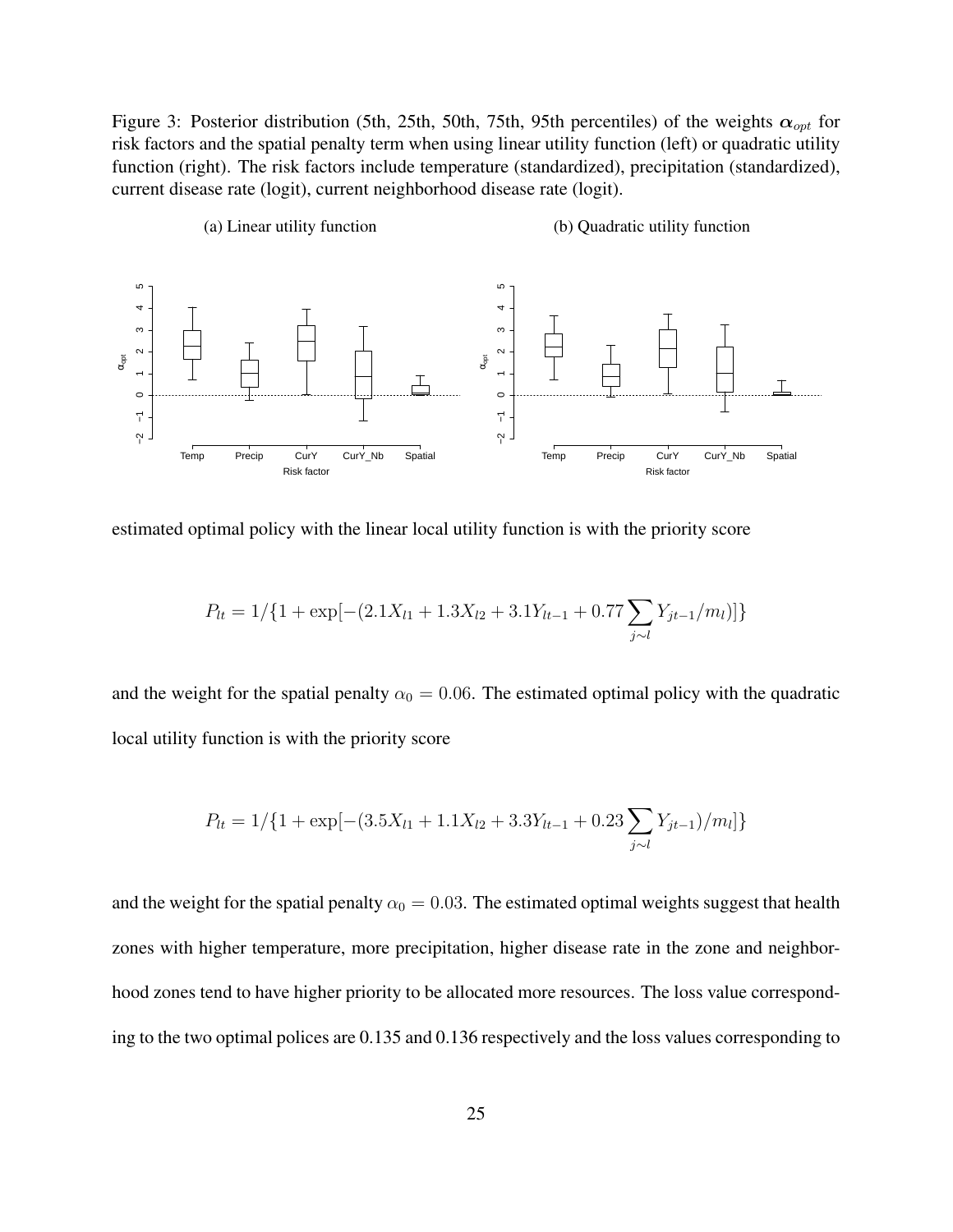<span id="page-24-0"></span>Figure 3: Posterior distribution (5th, 25th, 50th, 75th, 95th percentiles) of the weights  $\alpha_{opt}$  for risk factors and the spatial penalty term when using linear utility function (left) or quadratic utility function (right). The risk factors include temperature (standardized), precipitation (standardized), current disease rate (logit), current neighborhood disease rate (logit).



estimated optimal policy with the linear local utility function is with the priority score

$$
P_{lt} = 1/{1 + \exp[-(2.1X_{l1} + 1.3X_{l2} + 3.1Y_{lt-1} + 0.77\sum_{j \sim l} Y_{jt-1}/m_l)]}
$$

and the weight for the spatial penalty  $\alpha_0 = 0.06$ . The estimated optimal policy with the quadratic local utility function is with the priority score

$$
P_{lt} = 1/{1 + \exp[-(3.5X_{l1} + 1.1X_{l2} + 3.3Y_{lt-1} + 0.23\sum_{j \sim l} Y_{jt-1})/m_l]}
$$

and the weight for the spatial penalty  $\alpha_0 = 0.03$ . The estimated optimal weights suggest that health zones with higher temperature, more precipitation, higher disease rate in the zone and neighborhood zones tend to have higher priority to be allocated more resources. The loss value corresponding to the two optimal polices are 0.135 and 0.136 respectively and the loss values corresponding to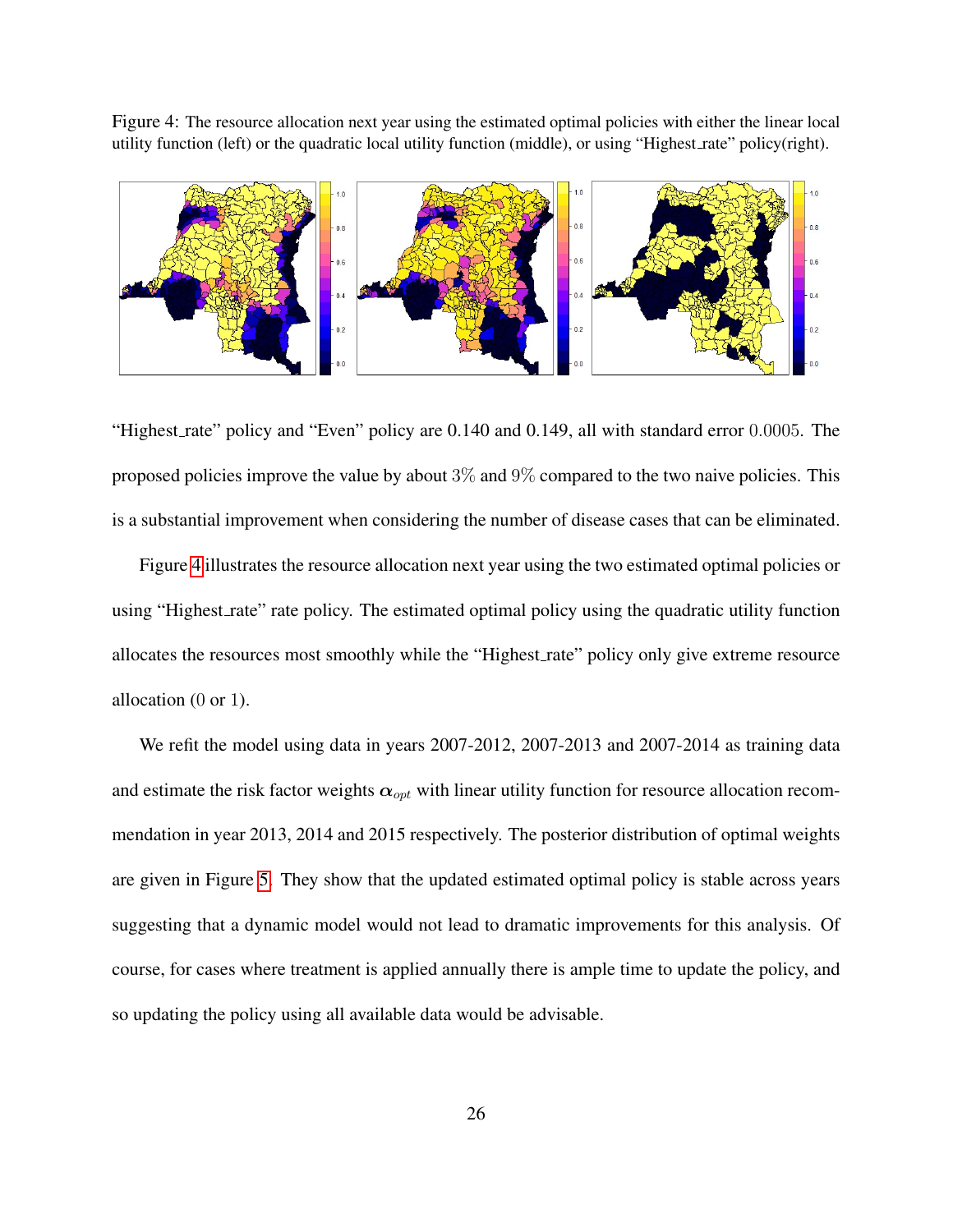<span id="page-25-0"></span>Figure 4: The resource allocation next year using the estimated optimal policies with either the linear local utility function (left) or the quadratic local utility function (middle), or using "Highest rate" policy(right).



"Highest rate" policy and "Even" policy are 0.140 and 0.149, all with standard error 0.0005. The proposed policies improve the value by about  $3\%$  and  $9\%$  compared to the two naive policies. This is a substantial improvement when considering the number of disease cases that can be eliminated.

Figure [4](#page-25-0) illustrates the resource allocation next year using the two estimated optimal policies or using "Highest\_rate" rate policy. The estimated optimal policy using the quadratic utility function allocates the resources most smoothly while the "Highest rate" policy only give extreme resource allocation (0 or 1).

We refit the model using data in years 2007-2012, 2007-2013 and 2007-2014 as training data and estimate the risk factor weights  $\alpha_{opt}$  with linear utility function for resource allocation recommendation in year 2013, 2014 and 2015 respectively. The posterior distribution of optimal weights are given in Figure [5.](#page-26-1) They show that the updated estimated optimal policy is stable across years suggesting that a dynamic model would not lead to dramatic improvements for this analysis. Of course, for cases where treatment is applied annually there is ample time to update the policy, and so updating the policy using all available data would be advisable.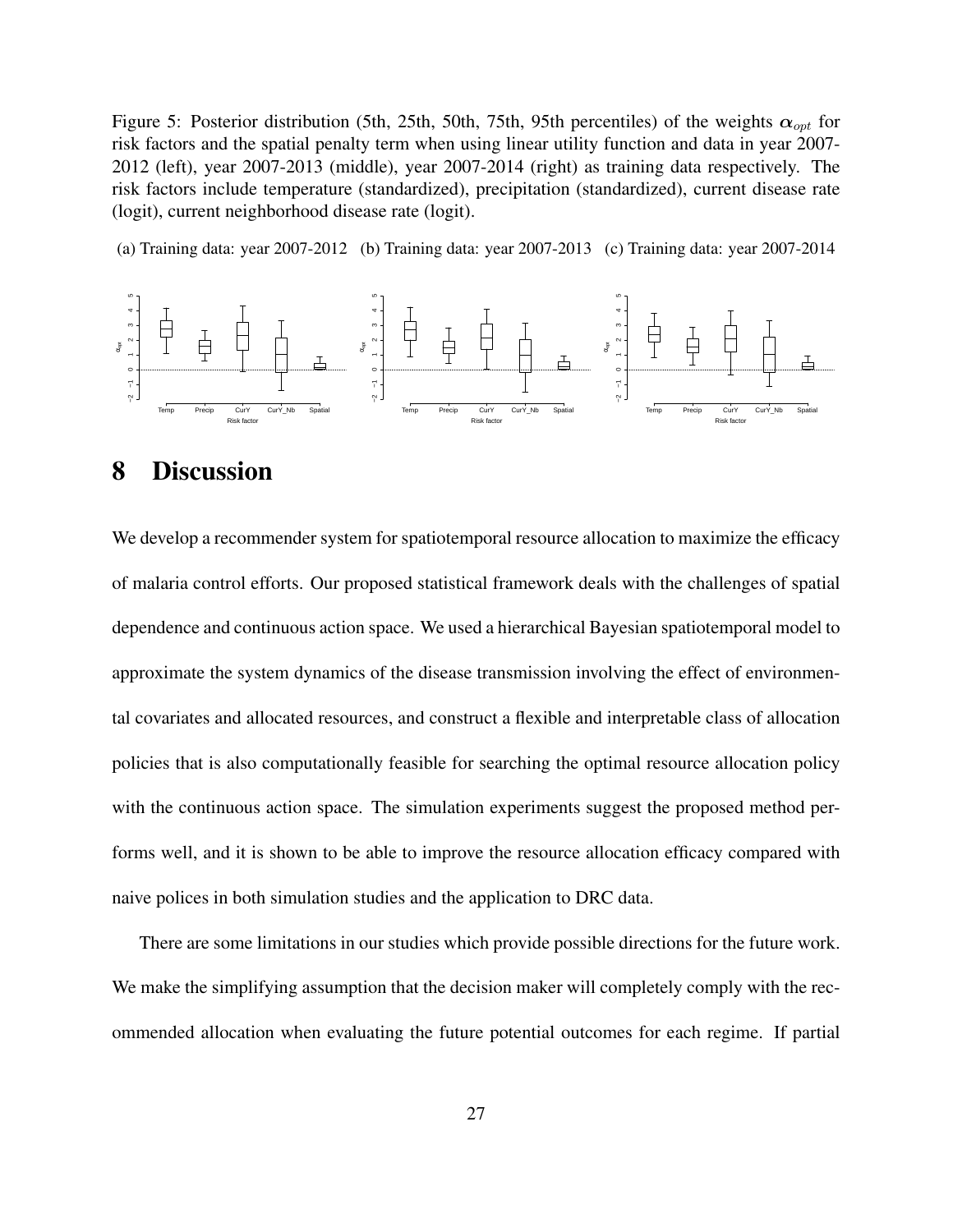<span id="page-26-1"></span>Figure 5: Posterior distribution (5th, 25th, 50th, 75th, 95th percentiles) of the weights  $\alpha_{opt}$  for risk factors and the spatial penalty term when using linear utility function and data in year 2007- 2012 (left), year 2007-2013 (middle), year 2007-2014 (right) as training data respectively. The risk factors include temperature (standardized), precipitation (standardized), current disease rate (logit), current neighborhood disease rate (logit).

(a) Training data: year 2007-2012 (b) Training data: year 2007-2013 (c) Training data: year 2007-2014



### <span id="page-26-0"></span>8 Discussion

We develop a recommender system for spatiotemporal resource allocation to maximize the efficacy of malaria control efforts. Our proposed statistical framework deals with the challenges of spatial dependence and continuous action space. We used a hierarchical Bayesian spatiotemporal model to approximate the system dynamics of the disease transmission involving the effect of environmental covariates and allocated resources, and construct a flexible and interpretable class of allocation policies that is also computationally feasible for searching the optimal resource allocation policy with the continuous action space. The simulation experiments suggest the proposed method performs well, and it is shown to be able to improve the resource allocation efficacy compared with naive polices in both simulation studies and the application to DRC data.

There are some limitations in our studies which provide possible directions for the future work. We make the simplifying assumption that the decision maker will completely comply with the recommended allocation when evaluating the future potential outcomes for each regime. If partial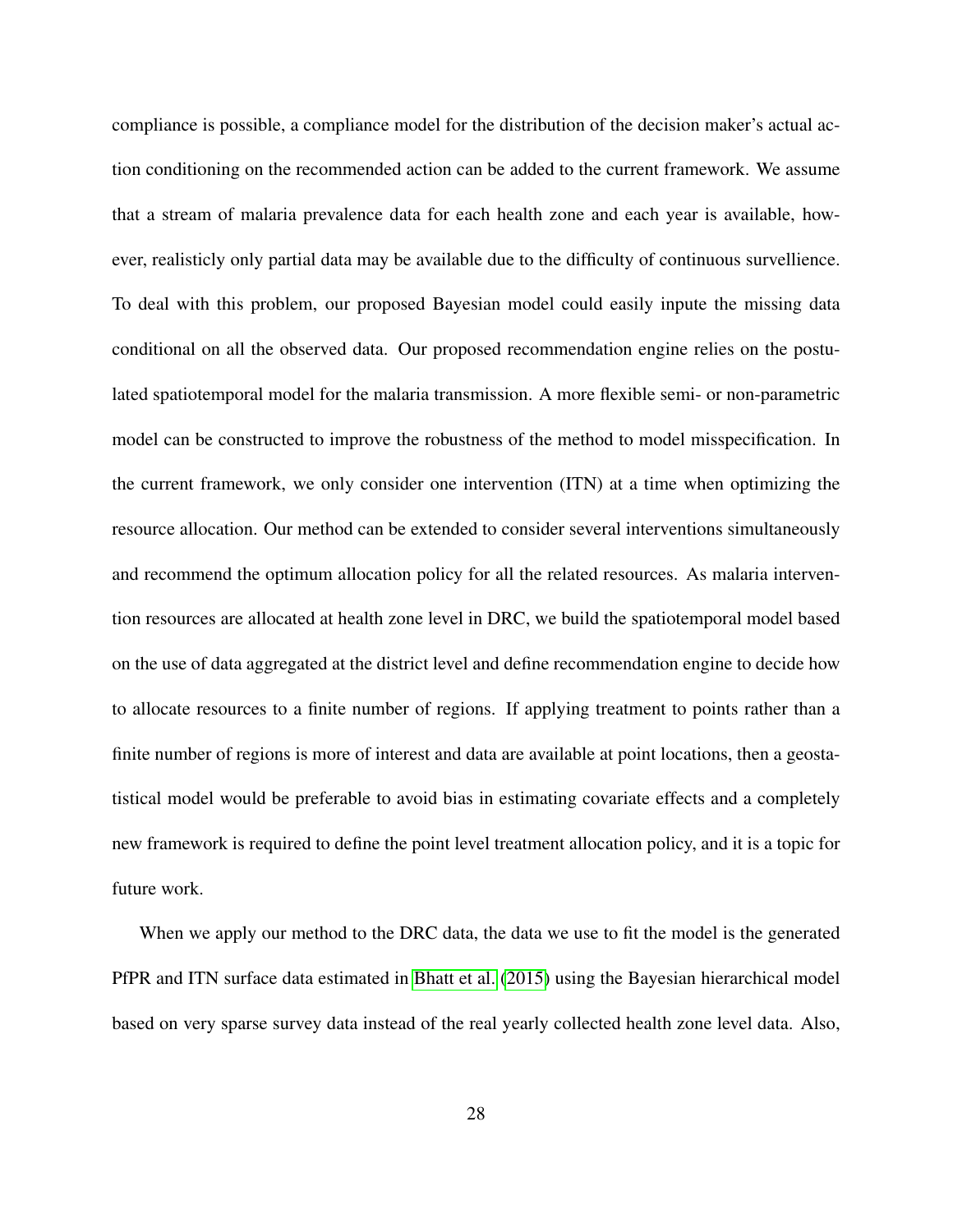compliance is possible, a compliance model for the distribution of the decision maker's actual action conditioning on the recommended action can be added to the current framework. We assume that a stream of malaria prevalence data for each health zone and each year is available, however, realisticly only partial data may be available due to the difficulty of continuous survellience. To deal with this problem, our proposed Bayesian model could easily inpute the missing data conditional on all the observed data. Our proposed recommendation engine relies on the postulated spatiotemporal model for the malaria transmission. A more flexible semi- or non-parametric model can be constructed to improve the robustness of the method to model misspecification. In the current framework, we only consider one intervention (ITN) at a time when optimizing the resource allocation. Our method can be extended to consider several interventions simultaneously and recommend the optimum allocation policy for all the related resources. As malaria intervention resources are allocated at health zone level in DRC, we build the spatiotemporal model based on the use of data aggregated at the district level and define recommendation engine to decide how to allocate resources to a finite number of regions. If applying treatment to points rather than a finite number of regions is more of interest and data are available at point locations, then a geostatistical model would be preferable to avoid bias in estimating covariate effects and a completely new framework is required to define the point level treatment allocation policy, and it is a topic for future work.

When we apply our method to the DRC data, the data we use to fit the model is the generated PfPR and ITN surface data estimated in [Bhatt et al.](#page-28-1) [\(2015\)](#page-28-1) using the Bayesian hierarchical model based on very sparse survey data instead of the real yearly collected health zone level data. Also,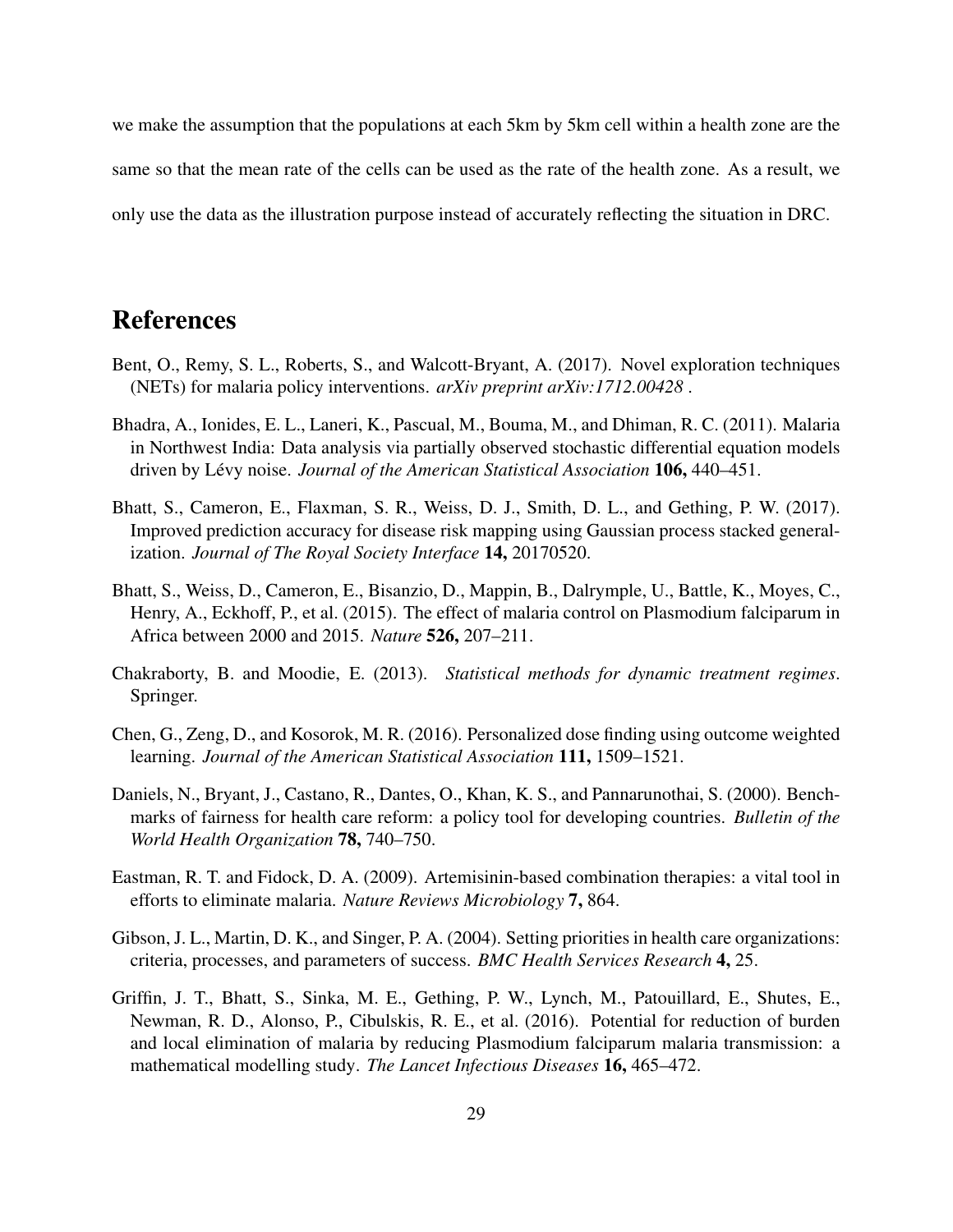we make the assumption that the populations at each 5km by 5km cell within a health zone are the same so that the mean rate of the cells can be used as the rate of the health zone. As a result, we only use the data as the illustration purpose instead of accurately reflecting the situation in DRC.

### References

- <span id="page-28-5"></span>Bent, O., Remy, S. L., Roberts, S., and Walcott-Bryant, A. (2017). Novel exploration techniques (NETs) for malaria policy interventions. *arXiv preprint arXiv:1712.00428* .
- <span id="page-28-4"></span>Bhadra, A., Ionides, E. L., Laneri, K., Pascual, M., Bouma, M., and Dhiman, R. C. (2011). Malaria in Northwest India: Data analysis via partially observed stochastic differential equation models driven by Lévy noise. Journal of the American Statistical Association 106, 440–451.
- <span id="page-28-2"></span>Bhatt, S., Cameron, E., Flaxman, S. R., Weiss, D. J., Smith, D. L., and Gething, P. W. (2017). Improved prediction accuracy for disease risk mapping using Gaussian process stacked generalization. *Journal of The Royal Society Interface* 14, 20170520.
- <span id="page-28-1"></span>Bhatt, S., Weiss, D., Cameron, E., Bisanzio, D., Mappin, B., Dalrymple, U., Battle, K., Moyes, C., Henry, A., Eckhoff, P., et al. (2015). The effect of malaria control on Plasmodium falciparum in Africa between 2000 and 2015. *Nature* 526, 207–211.
- <span id="page-28-6"></span>Chakraborty, B. and Moodie, E. (2013). *Statistical methods for dynamic treatment regimes*. Springer.
- <span id="page-28-7"></span>Chen, G., Zeng, D., and Kosorok, M. R. (2016). Personalized dose finding using outcome weighted learning. *Journal of the American Statistical Association* 111, 1509–1521.
- <span id="page-28-8"></span>Daniels, N., Bryant, J., Castano, R., Dantes, O., Khan, K. S., and Pannarunothai, S. (2000). Benchmarks of fairness for health care reform: a policy tool for developing countries. *Bulletin of the World Health Organization* 78, 740–750.
- <span id="page-28-0"></span>Eastman, R. T. and Fidock, D. A. (2009). Artemisinin-based combination therapies: a vital tool in efforts to eliminate malaria. *Nature Reviews Microbiology* 7, 864.
- <span id="page-28-9"></span>Gibson, J. L., Martin, D. K., and Singer, P. A. (2004). Setting priorities in health care organizations: criteria, processes, and parameters of success. *BMC Health Services Research* 4, 25.
- <span id="page-28-3"></span>Griffin, J. T., Bhatt, S., Sinka, M. E., Gething, P. W., Lynch, M., Patouillard, E., Shutes, E., Newman, R. D., Alonso, P., Cibulskis, R. E., et al. (2016). Potential for reduction of burden and local elimination of malaria by reducing Plasmodium falciparum malaria transmission: a mathematical modelling study. *The Lancet Infectious Diseases* 16, 465–472.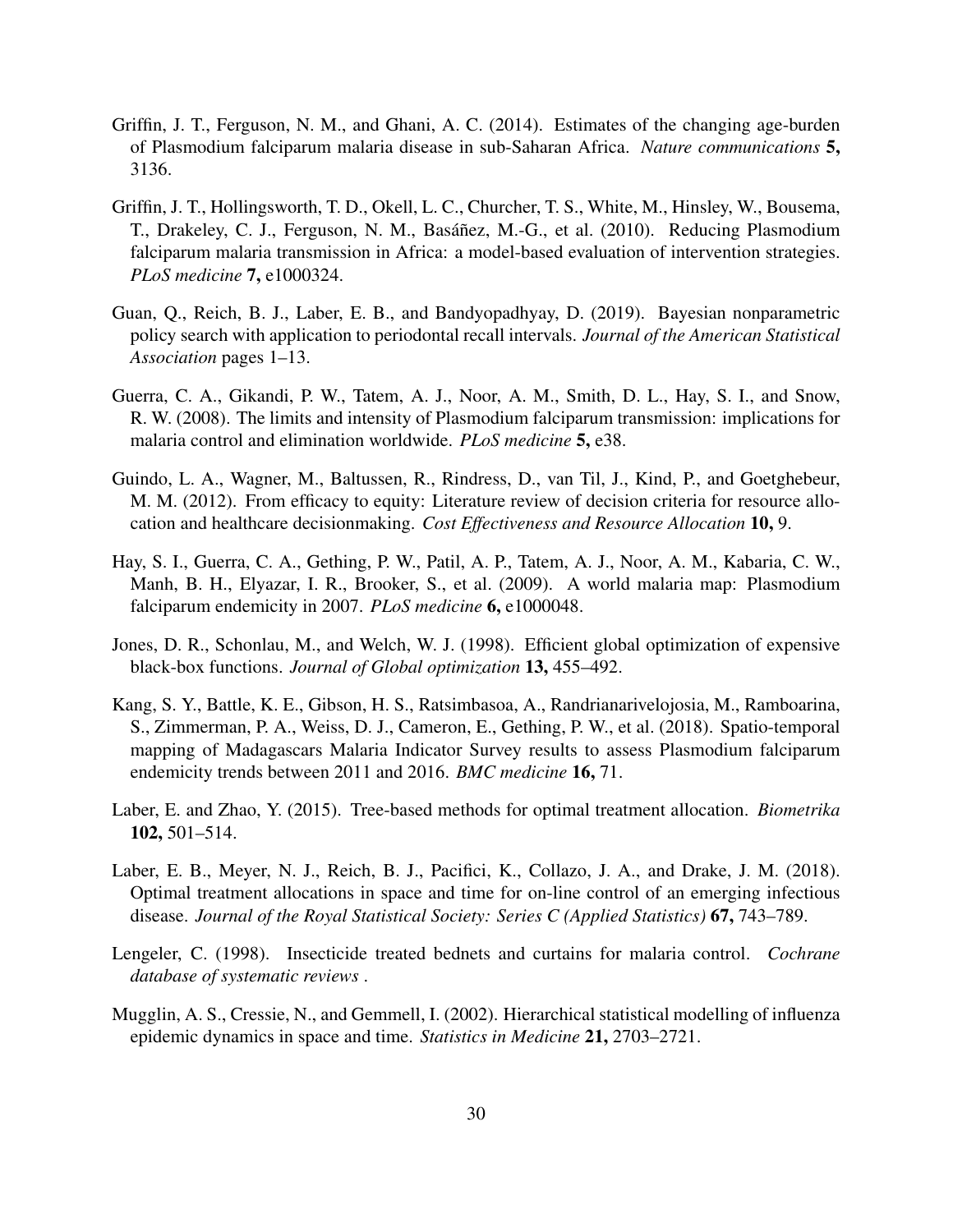- <span id="page-29-5"></span>Griffin, J. T., Ferguson, N. M., and Ghani, A. C. (2014). Estimates of the changing age-burden of Plasmodium falciparum malaria disease in sub-Saharan Africa. *Nature communications* 5, 3136.
- <span id="page-29-4"></span>Griffin, J. T., Hollingsworth, T. D., Okell, L. C., Churcher, T. S., White, M., Hinsley, W., Bousema, T., Drakeley, C. J., Ferguson, N. M., Basáñez, M.-G., et al. (2010). Reducing Plasmodium falciparum malaria transmission in Africa: a model-based evaluation of intervention strategies. *PLoS medicine* 7, e1000324.
- <span id="page-29-7"></span>Guan, Q., Reich, B. J., Laber, E. B., and Bandyopadhyay, D. (2019). Bayesian nonparametric policy search with application to periodontal recall intervals. *Journal of the American Statistical Association* pages 1–13.
- <span id="page-29-0"></span>Guerra, C. A., Gikandi, P. W., Tatem, A. J., Noor, A. M., Smith, D. L., Hay, S. I., and Snow, R. W. (2008). The limits and intensity of Plasmodium falciparum transmission: implications for malaria control and elimination worldwide. *PLoS medicine* 5, e38.
- <span id="page-29-10"></span>Guindo, L. A., Wagner, M., Baltussen, R., Rindress, D., van Til, J., Kind, P., and Goetghebeur, M. M. (2012). From efficacy to equity: Literature review of decision criteria for resource allocation and healthcare decisionmaking. *Cost Effectiveness and Resource Allocation* 10, 9.
- <span id="page-29-3"></span>Hay, S. I., Guerra, C. A., Gething, P. W., Patil, A. P., Tatem, A. J., Noor, A. M., Kabaria, C. W., Manh, B. H., Elyazar, I. R., Brooker, S., et al. (2009). A world malaria map: Plasmodium falciparum endemicity in 2007. *PLoS medicine* 6, e1000048.
- <span id="page-29-11"></span>Jones, D. R., Schonlau, M., and Welch, W. J. (1998). Efficient global optimization of expensive black-box functions. *Journal of Global optimization* 13, 455–492.
- <span id="page-29-2"></span>Kang, S. Y., Battle, K. E., Gibson, H. S., Ratsimbasoa, A., Randrianarivelojosia, M., Ramboarina, S., Zimmerman, P. A., Weiss, D. J., Cameron, E., Gething, P. W., et al. (2018). Spatio-temporal mapping of Madagascars Malaria Indicator Survey results to assess Plasmodium falciparum endemicity trends between 2011 and 2016. *BMC medicine* 16, 71.
- <span id="page-29-6"></span>Laber, E. and Zhao, Y. (2015). Tree-based methods for optimal treatment allocation. *Biometrika* 102, 501–514.
- <span id="page-29-8"></span>Laber, E. B., Meyer, N. J., Reich, B. J., Pacifici, K., Collazo, J. A., and Drake, J. M. (2018). Optimal treatment allocations in space and time for on-line control of an emerging infectious disease. *Journal of the Royal Statistical Society: Series C (Applied Statistics)* 67, 743–789.
- <span id="page-29-1"></span>Lengeler, C. (1998). Insecticide treated bednets and curtains for malaria control. *Cochrane database of systematic reviews* .
- <span id="page-29-9"></span>Mugglin, A. S., Cressie, N., and Gemmell, I. (2002). Hierarchical statistical modelling of influenza epidemic dynamics in space and time. *Statistics in Medicine* 21, 2703–2721.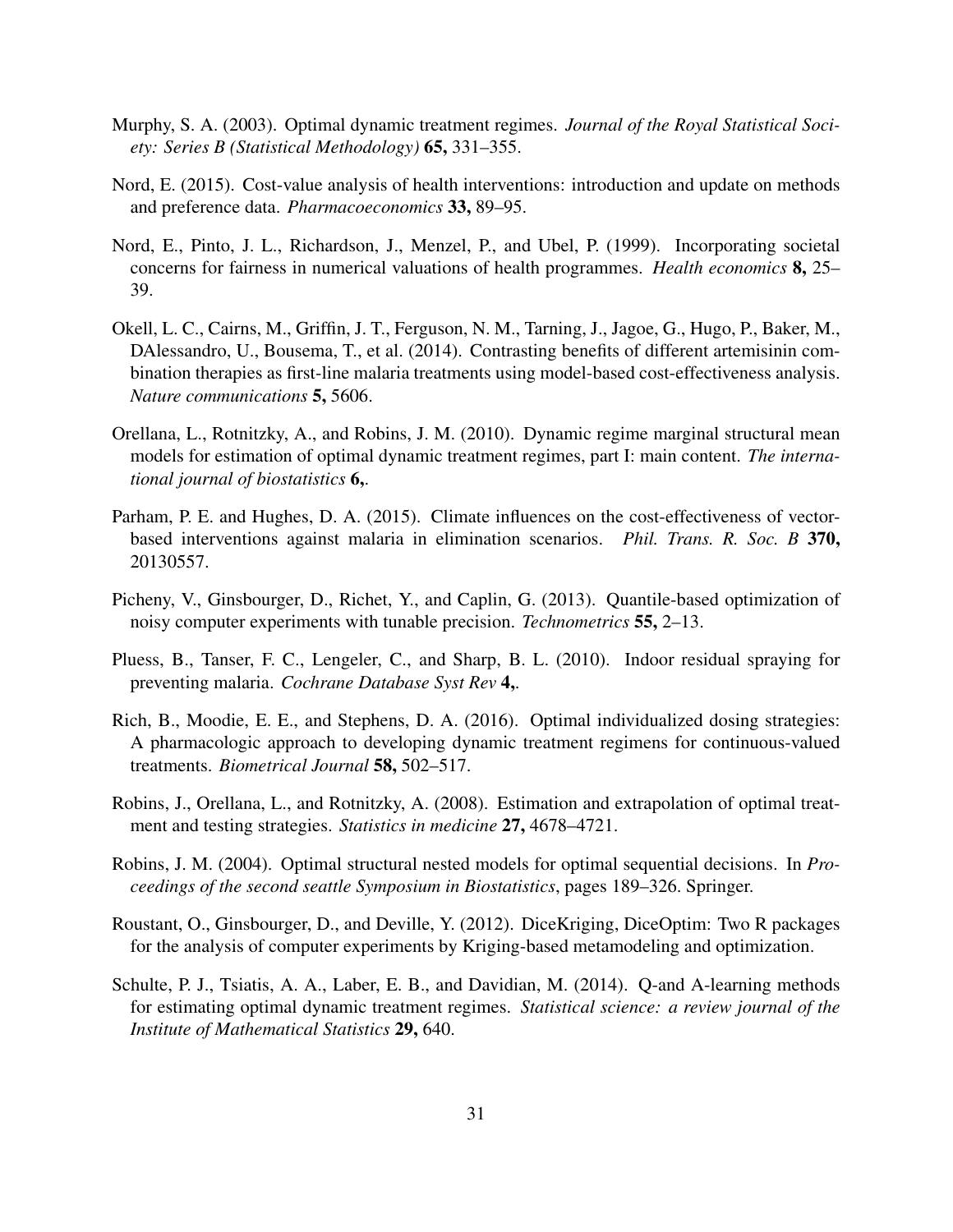- <span id="page-30-3"></span>Murphy, S. A. (2003). Optimal dynamic treatment regimes. *Journal of the Royal Statistical Society: Series B (Statistical Methodology)* 65, 331–355.
- <span id="page-30-10"></span>Nord, E. (2015). Cost-value analysis of health interventions: introduction and update on methods and preference data. *Pharmacoeconomics* 33, 89–95.
- <span id="page-30-9"></span>Nord, E., Pinto, J. L., Richardson, J., Menzel, P., and Ubel, P. (1999). Incorporating societal concerns for fairness in numerical valuations of health programmes. *Health economics* 8, 25– 39.
- <span id="page-30-1"></span>Okell, L. C., Cairns, M., Griffin, J. T., Ferguson, N. M., Tarning, J., Jagoe, G., Hugo, P., Baker, M., DAlessandro, U., Bousema, T., et al. (2014). Contrasting benefits of different artemisinin combination therapies as first-line malaria treatments using model-based cost-effectiveness analysis. *Nature communications* 5, 5606.
- <span id="page-30-8"></span>Orellana, L., Rotnitzky, A., and Robins, J. M. (2010). Dynamic regime marginal structural mean models for estimation of optimal dynamic treatment regimes, part I: main content. *The international journal of biostatistics* 6,.
- <span id="page-30-2"></span>Parham, P. E. and Hughes, D. A. (2015). Climate influences on the cost-effectiveness of vectorbased interventions against malaria in elimination scenarios. *Phil. Trans. R. Soc. B* 370, 20130557.
- <span id="page-30-11"></span>Picheny, V., Ginsbourger, D., Richet, Y., and Caplin, G. (2013). Quantile-based optimization of noisy computer experiments with tunable precision. *Technometrics* 55, 2–13.
- <span id="page-30-0"></span>Pluess, B., Tanser, F. C., Lengeler, C., and Sharp, B. L. (2010). Indoor residual spraying for preventing malaria. *Cochrane Database Syst Rev* 4,.
- <span id="page-30-6"></span>Rich, B., Moodie, E. E., and Stephens, D. A. (2016). Optimal individualized dosing strategies: A pharmacologic approach to developing dynamic treatment regimens for continuous-valued treatments. *Biometrical Journal* 58, 502–517.
- <span id="page-30-7"></span>Robins, J., Orellana, L., and Rotnitzky, A. (2008). Estimation and extrapolation of optimal treatment and testing strategies. *Statistics in medicine* 27, 4678–4721.
- <span id="page-30-4"></span>Robins, J. M. (2004). Optimal structural nested models for optimal sequential decisions. In *Proceedings of the second seattle Symposium in Biostatistics*, pages 189–326. Springer.
- <span id="page-30-12"></span>Roustant, O., Ginsbourger, D., and Deville, Y. (2012). DiceKriging, DiceOptim: Two R packages for the analysis of computer experiments by Kriging-based metamodeling and optimization.
- <span id="page-30-5"></span>Schulte, P. J., Tsiatis, A. A., Laber, E. B., and Davidian, M. (2014). Q-and A-learning methods for estimating optimal dynamic treatment regimes. *Statistical science: a review journal of the Institute of Mathematical Statistics* 29, 640.